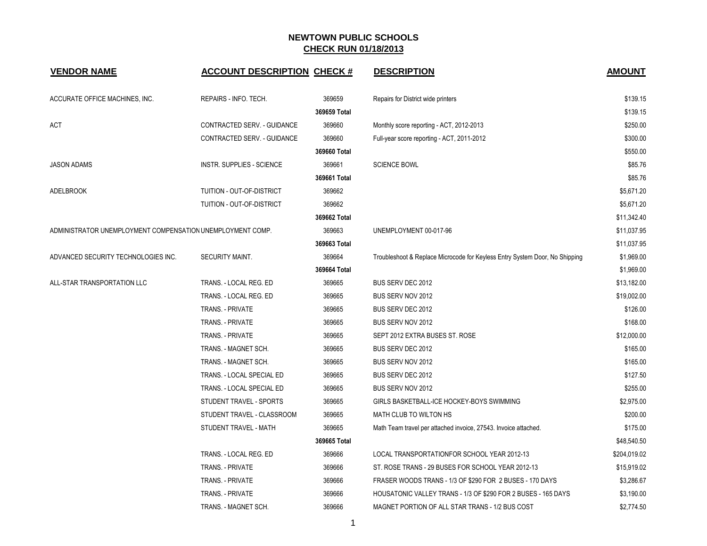| <b>VENDOR NAME</b>                                         | <b>ACCOUNT DESCRIPTION CHECK #</b> |              | <b>DESCRIPTION</b>                                                          | <b>AMOUNT</b> |
|------------------------------------------------------------|------------------------------------|--------------|-----------------------------------------------------------------------------|---------------|
| ACCURATE OFFICE MACHINES, INC.                             | REPAIRS - INFO. TECH.              | 369659       | Repairs for District wide printers                                          | \$139.15      |
|                                                            |                                    | 369659 Total |                                                                             | \$139.15      |
| ACT                                                        | CONTRACTED SERV. - GUIDANCE        | 369660       | Monthly score reporting - ACT, 2012-2013                                    | \$250.00      |
|                                                            | CONTRACTED SERV. - GUIDANCE        | 369660       | Full-year score reporting - ACT, 2011-2012                                  | \$300.00      |
|                                                            |                                    | 369660 Total |                                                                             | \$550.00      |
| <b>JASON ADAMS</b>                                         | <b>INSTR. SUPPLIES - SCIENCE</b>   | 369661       | <b>SCIENCE BOWL</b>                                                         | \$85.76       |
|                                                            |                                    | 369661 Total |                                                                             | \$85.76       |
| <b>ADELBROOK</b>                                           | TUITION - OUT-OF-DISTRICT          | 369662       |                                                                             | \$5,671.20    |
|                                                            | TUITION - OUT-OF-DISTRICT          | 369662       |                                                                             | \$5,671.20    |
|                                                            |                                    | 369662 Total |                                                                             | \$11,342.40   |
| ADMINISTRATOR UNEMPLOYMENT COMPENSATION UNEMPLOYMENT COMP. |                                    | 369663       | UNEMPLOYMENT 00-017-96                                                      | \$11,037.95   |
|                                                            |                                    | 369663 Total |                                                                             | \$11,037.95   |
| ADVANCED SECURITY TECHNOLOGIES INC.                        | SECURITY MAINT.                    | 369664       | Troubleshoot & Replace Microcode for Keyless Entry System Door, No Shipping | \$1,969.00    |
|                                                            |                                    | 369664 Total |                                                                             | \$1,969.00    |
| ALL-STAR TRANSPORTATION LLC                                | TRANS. - LOCAL REG. ED             | 369665       | BUS SERV DEC 2012                                                           | \$13,182.00   |
|                                                            | TRANS. - LOCAL REG. ED             | 369665       | BUS SERV NOV 2012                                                           | \$19,002.00   |
|                                                            | TRANS. - PRIVATE                   | 369665       | BUS SERV DEC 2012                                                           | \$126.00      |
|                                                            | TRANS. - PRIVATE                   | 369665       | BUS SERV NOV 2012                                                           | \$168.00      |
|                                                            | TRANS. - PRIVATE                   | 369665       | SEPT 2012 EXTRA BUSES ST. ROSE                                              | \$12,000.00   |
|                                                            | TRANS. - MAGNET SCH.               | 369665       | BUS SERV DEC 2012                                                           | \$165.00      |
|                                                            | TRANS. - MAGNET SCH.               | 369665       | BUS SERV NOV 2012                                                           | \$165.00      |
|                                                            | TRANS. - LOCAL SPECIAL ED          | 369665       | BUS SERV DEC 2012                                                           | \$127.50      |
|                                                            | TRANS. - LOCAL SPECIAL ED          | 369665       | BUS SERV NOV 2012                                                           | \$255.00      |
|                                                            | STUDENT TRAVEL - SPORTS            | 369665       | GIRLS BASKETBALL-ICE HOCKEY-BOYS SWIMMING                                   | \$2,975.00    |
|                                                            | STUDENT TRAVEL - CLASSROOM         | 369665       | MATH CLUB TO WILTON HS                                                      | \$200.00      |
|                                                            | STUDENT TRAVEL - MATH              | 369665       | Math Team travel per attached invoice, 27543. Invoice attached.             | \$175.00      |
|                                                            |                                    | 369665 Total |                                                                             | \$48,540.50   |
|                                                            | TRANS. - LOCAL REG. ED             | 369666       | LOCAL TRANSPORTATIONFOR SCHOOL YEAR 2012-13                                 | \$204,019.02  |
|                                                            | TRANS. - PRIVATE                   | 369666       | ST. ROSE TRANS - 29 BUSES FOR SCHOOL YEAR 2012-13                           | \$15,919.02   |
|                                                            | TRANS. - PRIVATE                   | 369666       | FRASER WOODS TRANS - 1/3 OF \$290 FOR 2 BUSES - 170 DAYS                    | \$3,286.67    |
|                                                            | TRANS. - PRIVATE                   | 369666       | HOUSATONIC VALLEY TRANS - 1/3 OF \$290 FOR 2 BUSES - 165 DAYS               | \$3,190.00    |
|                                                            | TRANS. - MAGNET SCH.               | 369666       | MAGNET PORTION OF ALL STAR TRANS - 1/2 BUS COST                             | \$2,774.50    |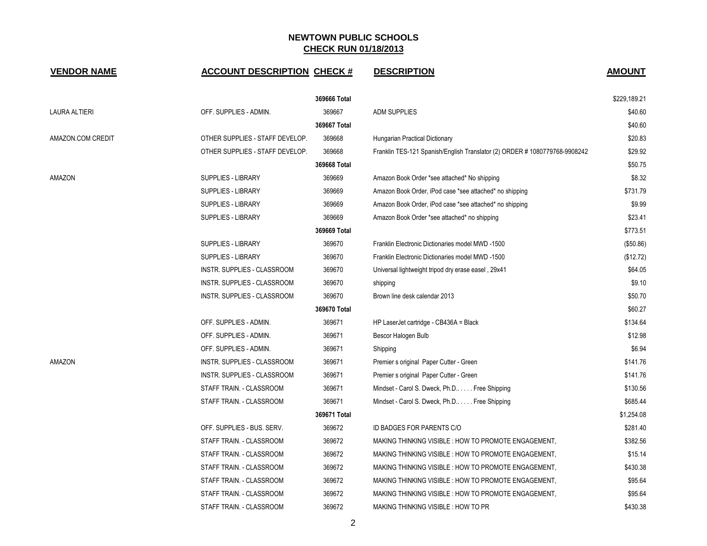| <b>VENDOR NAME</b> | <b>ACCOUNT DESCRIPTION CHECK #</b> |              | <b>DESCRIPTION</b>                                                         | <b>AMOUNT</b> |
|--------------------|------------------------------------|--------------|----------------------------------------------------------------------------|---------------|
|                    |                                    | 369666 Total |                                                                            | \$229,189.21  |
| LAURA ALTIERI      | OFF. SUPPLIES - ADMIN.             | 369667       | <b>ADM SUPPLIES</b>                                                        | \$40.60       |
|                    |                                    | 369667 Total |                                                                            | \$40.60       |
| AMAZON.COM CREDIT  | OTHER SUPPLIES - STAFF DEVELOP.    | 369668       | Hungarian Practical Dictionary                                             | \$20.83       |
|                    | OTHER SUPPLIES - STAFF DEVELOP.    | 369668       | Franklin TES-121 Spanish/English Translator (2) ORDER # 1080779768-9908242 | \$29.92       |
|                    |                                    | 369668 Total |                                                                            | \$50.75       |
| AMAZON             | <b>SUPPLIES - LIBRARY</b>          | 369669       | Amazon Book Order *see attached* No shipping                               | \$8.32        |
|                    | <b>SUPPLIES - LIBRARY</b>          | 369669       | Amazon Book Order, iPod case *see attached* no shipping                    | \$731.79      |
|                    | SUPPLIES - LIBRARY                 | 369669       | Amazon Book Order, iPod case *see attached* no shipping                    | \$9.99        |
|                    | <b>SUPPLIES - LIBRARY</b>          | 369669       | Amazon Book Order *see attached* no shipping                               | \$23.41       |
|                    |                                    | 369669 Total |                                                                            | \$773.51      |
|                    | <b>SUPPLIES - LIBRARY</b>          | 369670       | Franklin Electronic Dictionaries model MWD -1500                           | (\$50.86)     |
|                    | <b>SUPPLIES - LIBRARY</b>          | 369670       | Franklin Electronic Dictionaries model MWD -1500                           | (\$12.72)     |
|                    | INSTR. SUPPLIES - CLASSROOM        | 369670       | Universal lightweight tripod dry erase easel, 29x41                        | \$64.05       |
|                    | INSTR. SUPPLIES - CLASSROOM        | 369670       | shipping                                                                   | \$9.10        |
|                    | INSTR. SUPPLIES - CLASSROOM        | 369670       | Brown line desk calendar 2013                                              | \$50.70       |
|                    |                                    | 369670 Total |                                                                            | \$60.27       |
|                    | OFF. SUPPLIES - ADMIN.             | 369671       | HP LaserJet cartridge - CB436A = Black                                     | \$134.64      |
|                    | OFF. SUPPLIES - ADMIN.             | 369671       | Bescor Halogen Bulb                                                        | \$12.98       |
|                    | OFF. SUPPLIES - ADMIN.             | 369671       | Shipping                                                                   | \$6.94        |
| AMAZON             | INSTR. SUPPLIES - CLASSROOM        | 369671       | Premier s original Paper Cutter - Green                                    | \$141.76      |
|                    | INSTR. SUPPLIES - CLASSROOM        | 369671       | Premier s original Paper Cutter - Green                                    | \$141.76      |
|                    | STAFF TRAIN. - CLASSROOM           | 369671       | Mindset - Carol S. Dweck, Ph.D Free Shipping                               | \$130.56      |
|                    | STAFF TRAIN. - CLASSROOM           | 369671       | Mindset - Carol S. Dweck, Ph.D Free Shipping                               | \$685.44      |
|                    |                                    | 369671 Total |                                                                            | \$1,254.08    |
|                    | OFF. SUPPLIES - BUS. SERV.         | 369672       | ID BADGES FOR PARENTS C/O                                                  | \$281.40      |
|                    | STAFF TRAIN. - CLASSROOM           | 369672       | MAKING THINKING VISIBLE: HOW TO PROMOTE ENGAGEMENT,                        | \$382.56      |
|                    | STAFF TRAIN. - CLASSROOM           | 369672       | MAKING THINKING VISIBLE : HOW TO PROMOTE ENGAGEMENT,                       | \$15.14       |
|                    | STAFF TRAIN. - CLASSROOM           | 369672       | MAKING THINKING VISIBLE: HOW TO PROMOTE ENGAGEMENT,                        | \$430.38      |
|                    | STAFF TRAIN. - CLASSROOM           | 369672       | MAKING THINKING VISIBLE : HOW TO PROMOTE ENGAGEMENT,                       | \$95.64       |
|                    | STAFF TRAIN. - CLASSROOM           | 369672       | MAKING THINKING VISIBLE : HOW TO PROMOTE ENGAGEMENT,                       | \$95.64       |
|                    | STAFF TRAIN. - CLASSROOM           | 369672       | <b>MAKING THINKING VISIBLE: HOW TO PR</b>                                  | \$430.38      |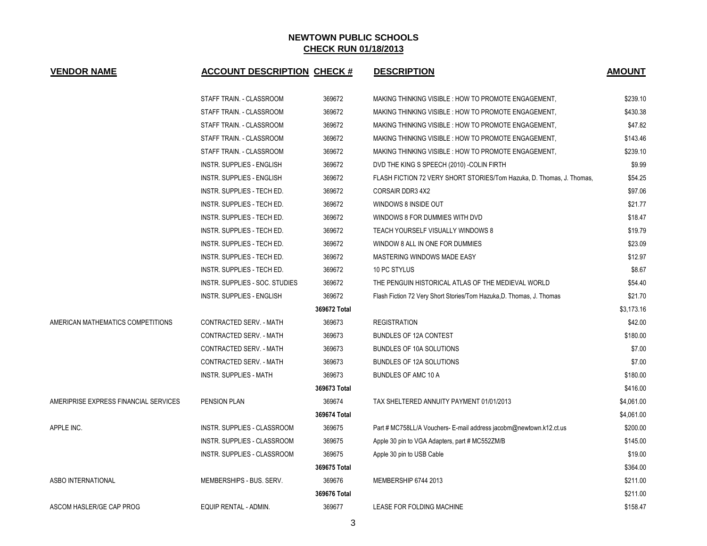| <b>VENDOR NAME</b>                    | <b>ACCOUNT DESCRIPTION CHECK #</b> |              | <b>DESCRIPTION</b>                                                    | <b>AMOUNT</b> |
|---------------------------------------|------------------------------------|--------------|-----------------------------------------------------------------------|---------------|
|                                       | STAFF TRAIN. - CLASSROOM           | 369672       | MAKING THINKING VISIBLE : HOW TO PROMOTE ENGAGEMENT,                  | \$239.10      |
|                                       | STAFF TRAIN. - CLASSROOM           | 369672       | MAKING THINKING VISIBLE : HOW TO PROMOTE ENGAGEMENT,                  | \$430.38      |
|                                       | STAFF TRAIN. - CLASSROOM           | 369672       | MAKING THINKING VISIBLE : HOW TO PROMOTE ENGAGEMENT,                  | \$47.82       |
|                                       | STAFF TRAIN. - CLASSROOM           | 369672       | MAKING THINKING VISIBLE : HOW TO PROMOTE ENGAGEMENT,                  | \$143.46      |
|                                       | STAFF TRAIN. - CLASSROOM           | 369672       | MAKING THINKING VISIBLE : HOW TO PROMOTE ENGAGEMENT,                  | \$239.10      |
|                                       | <b>INSTR. SUPPLIES - ENGLISH</b>   | 369672       | DVD THE KING S SPEECH (2010) - COLIN FIRTH                            | \$9.99        |
|                                       | <b>INSTR. SUPPLIES - ENGLISH</b>   | 369672       | FLASH FICTION 72 VERY SHORT STORIES/Tom Hazuka, D. Thomas, J. Thomas, | \$54.25       |
|                                       | INSTR. SUPPLIES - TECH ED.         | 369672       | CORSAIR DDR3 4X2                                                      | \$97.06       |
|                                       | INSTR. SUPPLIES - TECH ED.         | 369672       | WINDOWS 8 INSIDE OUT                                                  | \$21.77       |
|                                       | INSTR. SUPPLIES - TECH ED.         | 369672       | WINDOWS 8 FOR DUMMIES WITH DVD                                        | \$18.47       |
|                                       | INSTR. SUPPLIES - TECH ED.         | 369672       | TEACH YOURSELF VISUALLY WINDOWS 8                                     | \$19.79       |
|                                       | INSTR. SUPPLIES - TECH ED.         | 369672       | WINDOW 8 ALL IN ONE FOR DUMMIES                                       | \$23.09       |
|                                       | INSTR. SUPPLIES - TECH ED.         | 369672       | MASTERING WINDOWS MADE EASY                                           | \$12.97       |
|                                       | INSTR. SUPPLIES - TECH ED.         | 369672       | 10 PC STYLUS                                                          | \$8.67        |
|                                       | INSTR. SUPPLIES - SOC. STUDIES     | 369672       | THE PENGUIN HISTORICAL ATLAS OF THE MEDIEVAL WORLD                    | \$54.40       |
|                                       | <b>INSTR. SUPPLIES - ENGLISH</b>   | 369672       | Flash Fiction 72 Very Short Stories/Tom Hazuka, D. Thomas, J. Thomas  | \$21.70       |
|                                       |                                    | 369672 Total |                                                                       | \$3,173.16    |
| AMERICAN MATHEMATICS COMPETITIONS     | CONTRACTED SERV. - MATH            | 369673       | <b>REGISTRATION</b>                                                   | \$42.00       |
|                                       | CONTRACTED SERV. - MATH            | 369673       | <b>BUNDLES OF 12A CONTEST</b>                                         | \$180.00      |
|                                       | CONTRACTED SERV. - MATH            | 369673       | BUNDLES OF 10A SOLUTIONS                                              | \$7.00        |
|                                       | CONTRACTED SERV. - MATH            | 369673       | BUNDLES OF 12A SOLUTIONS                                              | \$7.00        |
|                                       | <b>INSTR. SUPPLIES - MATH</b>      | 369673       | <b>BUNDLES OF AMC 10 A</b>                                            | \$180.00      |
|                                       |                                    | 369673 Total |                                                                       | \$416.00      |
| AMERIPRISE EXPRESS FINANCIAL SERVICES | <b>PENSION PLAN</b>                | 369674       | TAX SHELTERED ANNUITY PAYMENT 01/01/2013                              | \$4,061.00    |
|                                       |                                    | 369674 Total |                                                                       | \$4,061.00    |
| APPLE INC.                            | INSTR. SUPPLIES - CLASSROOM        | 369675       | Part # MC758LL/A Vouchers- E-mail address jacobm@newtown.k12.ct.us    | \$200.00      |
|                                       | INSTR. SUPPLIES - CLASSROOM        | 369675       | Apple 30 pin to VGA Adapters, part # MC552ZM/B                        | \$145.00      |
|                                       | INSTR. SUPPLIES - CLASSROOM        | 369675       | Apple 30 pin to USB Cable                                             | \$19.00       |
|                                       |                                    | 369675 Total |                                                                       | \$364.00      |
| <b>ASBO INTERNATIONAL</b>             | MEMBERSHIPS - BUS, SERV.           | 369676       | MEMBERSHIP 6744 2013                                                  | \$211.00      |
|                                       |                                    | 369676 Total |                                                                       | \$211.00      |
| ASCOM HASLER/GE CAP PROG              | EQUIP RENTAL - ADMIN.              | 369677       | LEASE FOR FOLDING MACHINE                                             | \$158.47      |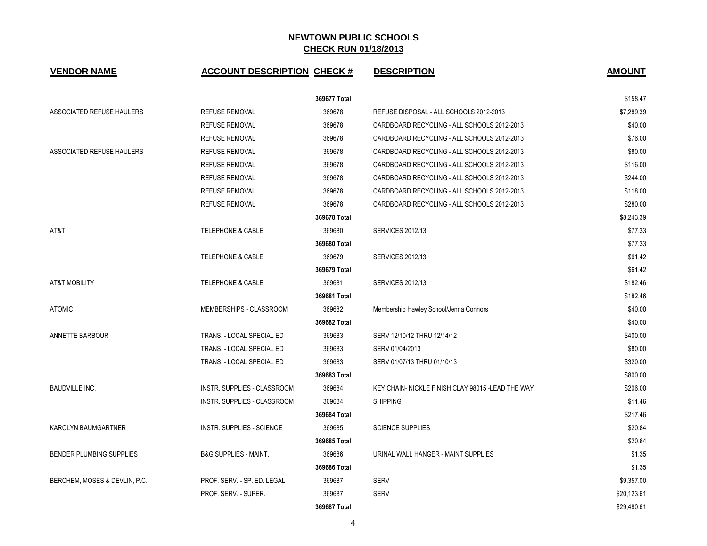| <b>VENDOR NAME</b>              | <b>ACCOUNT DESCRIPTION CHECK #</b> |              | <b>DESCRIPTION</b>                                 | <b>AMOUNT</b> |
|---------------------------------|------------------------------------|--------------|----------------------------------------------------|---------------|
|                                 |                                    | 369677 Total |                                                    | \$158.47      |
| ASSOCIATED REFUSE HAULERS       | <b>REFUSE REMOVAL</b>              | 369678       | REFUSE DISPOSAL - ALL SCHOOLS 2012-2013            | \$7,289.39    |
|                                 | <b>REFUSE REMOVAL</b>              | 369678       | CARDBOARD RECYCLING - ALL SCHOOLS 2012-2013        | \$40.00       |
|                                 | <b>REFUSE REMOVAL</b>              | 369678       | CARDBOARD RECYCLING - ALL SCHOOLS 2012-2013        | \$76.00       |
| ASSOCIATED REFUSE HAULERS       | <b>REFUSE REMOVAL</b>              | 369678       | CARDBOARD RECYCLING - ALL SCHOOLS 2012-2013        | \$80.00       |
|                                 | <b>REFUSE REMOVAL</b>              | 369678       | CARDBOARD RECYCLING - ALL SCHOOLS 2012-2013        | \$116.00      |
|                                 | <b>REFUSE REMOVAL</b>              | 369678       | CARDBOARD RECYCLING - ALL SCHOOLS 2012-2013        | \$244.00      |
|                                 | <b>REFUSE REMOVAL</b>              | 369678       | CARDBOARD RECYCLING - ALL SCHOOLS 2012-2013        | \$118.00      |
|                                 | <b>REFUSE REMOVAL</b>              | 369678       | CARDBOARD RECYCLING - ALL SCHOOLS 2012-2013        | \$280.00      |
|                                 |                                    | 369678 Total |                                                    | \$8.243.39    |
| AT&T                            | <b>TELEPHONE &amp; CABLE</b>       | 369680       | <b>SERVICES 2012/13</b>                            | \$77.33       |
|                                 |                                    | 369680 Total |                                                    | \$77.33       |
|                                 | <b>TELEPHONE &amp; CABLE</b>       | 369679       | <b>SERVICES 2012/13</b>                            | \$61.42       |
|                                 |                                    | 369679 Total |                                                    | \$61.42       |
| <b>AT&amp;T MOBILITY</b>        | <b>TELEPHONE &amp; CABLE</b>       | 369681       | <b>SERVICES 2012/13</b>                            | \$182.46      |
|                                 |                                    | 369681 Total |                                                    | \$182.46      |
| <b>ATOMIC</b>                   | MEMBERSHIPS - CLASSROOM            | 369682       | Membership Hawley School/Jenna Connors             | \$40.00       |
|                                 |                                    | 369682 Total |                                                    | \$40.00       |
| ANNETTE BARBOUR                 | TRANS. - LOCAL SPECIAL ED          | 369683       | SERV 12/10/12 THRU 12/14/12                        | \$400.00      |
|                                 | TRANS. - LOCAL SPECIAL ED          | 369683       | SERV 01/04/2013                                    | \$80.00       |
|                                 | TRANS. - LOCAL SPECIAL ED          | 369683       | SERV 01/07/13 THRU 01/10/13                        | \$320.00      |
|                                 |                                    | 369683 Total |                                                    | \$800.00      |
| <b>BAUDVILLE INC.</b>           | <b>INSTR. SUPPLIES - CLASSROOM</b> | 369684       | KEY CHAIN- NICKLE FINISH CLAY 98015 - LEAD THE WAY | \$206.00      |
|                                 | INSTR. SUPPLIES - CLASSROOM        | 369684       | <b>SHIPPING</b>                                    | \$11.46       |
|                                 |                                    | 369684 Total |                                                    | \$217.46      |
| KAROLYN BAUMGARTNER             | <b>INSTR. SUPPLIES - SCIENCE</b>   | 369685       | <b>SCIENCE SUPPLIES</b>                            | \$20.84       |
|                                 |                                    | 369685 Total |                                                    | \$20.84       |
| <b>BENDER PLUMBING SUPPLIES</b> | <b>B&amp;G SUPPLIES - MAINT.</b>   | 369686       | URINAL WALL HANGER - MAINT SUPPLIES                | \$1.35        |
|                                 |                                    | 369686 Total |                                                    | \$1.35        |
| BERCHEM, MOSES & DEVLIN, P.C.   | PROF. SERV. - SP. ED. LEGAL        | 369687       | <b>SERV</b>                                        | \$9,357.00    |
|                                 | PROF. SERV. - SUPER.               | 369687       | <b>SERV</b>                                        | \$20,123.61   |
|                                 |                                    | 369687 Total |                                                    | \$29.480.61   |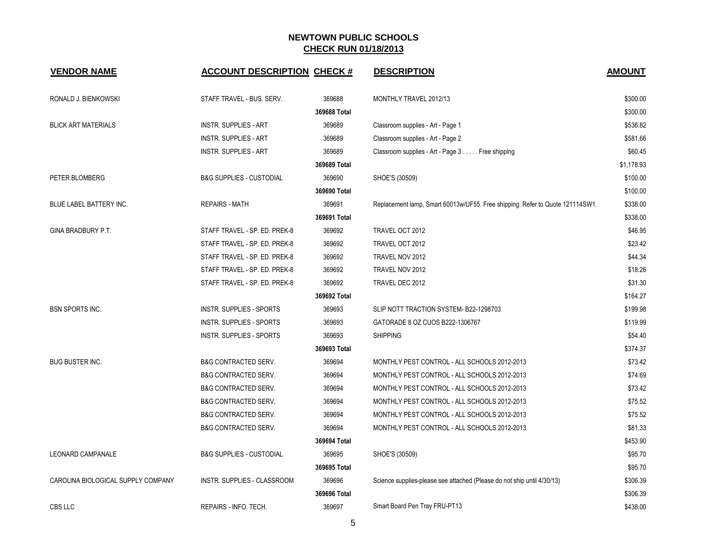| <b>VENDOR NAME</b>                 | <b>ACCOUNT DESCRIPTION CHECK #</b>  |              | <b>DESCRIPTION</b>                                                            | <b>AMOUNT</b> |
|------------------------------------|-------------------------------------|--------------|-------------------------------------------------------------------------------|---------------|
| RONALD J. BIENKOWSKI               | STAFF TRAVEL - BUS. SERV.           | 369688       | MONTHLY TRAVEL 2012/13                                                        | \$300.00      |
|                                    |                                     | 369688 Total |                                                                               | \$300.00      |
| <b>BLICK ART MATERIALS</b>         | <b>INSTR. SUPPLIES - ART</b>        | 369689       | Classroom supplies - Art - Page 1                                             | \$536.82      |
|                                    | <b>INSTR. SUPPLIES - ART</b>        | 369689       | Classroom supplies - Art - Page 2                                             | \$581.66      |
|                                    | <b>INSTR. SUPPLIES - ART</b>        | 369689       | Classroom supplies - Art - Page 3 Free shipping                               | \$60.45       |
|                                    |                                     | 369689 Total |                                                                               | \$1,178.93    |
| PETER BLOMBERG                     | <b>B&amp;G SUPPLIES - CUSTODIAL</b> | 369690       | SHOE'S (30509)                                                                | \$100.00      |
|                                    |                                     | 369690 Total |                                                                               | \$100.00      |
| BLUE LABEL BATTERY INC.            | <b>REPAIRS - MATH</b>               | 369691       | Replacement lamp, Smart 60013w/UF55. Free shipping. Refer to Quote 121114SW1. | \$338.00      |
|                                    |                                     | 369691 Total |                                                                               | \$338.00      |
| GINA BRADBURY P.T.                 | STAFF TRAVEL - SP. ED. PREK-8       | 369692       | TRAVEL OCT 2012                                                               | \$46.95       |
|                                    | STAFF TRAVEL - SP. ED. PREK-8       | 369692       | TRAVEL OCT 2012                                                               | \$23.42       |
|                                    | STAFF TRAVEL - SP. ED. PREK-8       | 369692       | TRAVEL NOV 2012                                                               | \$44.34       |
|                                    | STAFF TRAVEL - SP. ED. PREK-8       | 369692       | TRAVEL NOV 2012                                                               | \$18.26       |
|                                    | STAFF TRAVEL - SP. ED. PREK-8       | 369692       | TRAVEL DEC 2012                                                               | \$31.30       |
|                                    |                                     | 369692 Total |                                                                               | \$164.27      |
| <b>BSN SPORTS INC.</b>             | <b>INSTR. SUPPLIES - SPORTS</b>     | 369693       | SLIP NOTT TRACTION SYSTEM- B22-1298703                                        | \$199.98      |
|                                    | <b>INSTR. SUPPLIES - SPORTS</b>     | 369693       | GATORADE 8 OZ CUOS B222-1306767                                               | \$119.99      |
|                                    | <b>INSTR. SUPPLIES - SPORTS</b>     | 369693       | <b>SHIPPING</b>                                                               | \$54.40       |
|                                    |                                     | 369693 Total |                                                                               | \$374.37      |
| <b>BUG BUSTER INC.</b>             | <b>B&amp;G CONTRACTED SERV.</b>     | 369694       | MONTHLY PEST CONTROL - ALL SCHOOLS 2012-2013                                  | \$73.42       |
|                                    | <b>B&amp;G CONTRACTED SERV.</b>     | 369694       | MONTHLY PEST CONTROL - ALL SCHOOLS 2012-2013                                  | \$74.69       |
|                                    | <b>B&amp;G CONTRACTED SERV.</b>     | 369694       | MONTHLY PEST CONTROL - ALL SCHOOLS 2012-2013                                  | \$73.42       |
|                                    | <b>B&amp;G CONTRACTED SERV.</b>     | 369694       | MONTHLY PEST CONTROL - ALL SCHOOLS 2012-2013                                  | \$75.52       |
|                                    | <b>B&amp;G CONTRACTED SERV.</b>     | 369694       | MONTHLY PEST CONTROL - ALL SCHOOLS 2012-2013                                  | \$75.52       |
|                                    | <b>B&amp;G CONTRACTED SERV.</b>     | 369694       | MONTHLY PEST CONTROL - ALL SCHOOLS 2012-2013                                  | \$81.33       |
|                                    |                                     | 369694 Total |                                                                               | \$453.90      |
| <b>LEONARD CAMPANALE</b>           | <b>B&amp;G SUPPLIES - CUSTODIAL</b> | 369695       | SHOE'S (30509)                                                                | \$95.70       |
|                                    |                                     | 369695 Total |                                                                               | \$95.70       |
| CAROLINA BIOLOGICAL SUPPLY COMPANY | INSTR. SUPPLIES - CLASSROOM         | 369696       | Science supplies-please see attached (Please do not ship until 4/30/13)       | \$306.39      |
|                                    |                                     | 369696 Total |                                                                               | \$306.39      |
| CBS LLC                            | REPAIRS - INFO. TECH.               | 369697       | Smart Board Pen Tray FRU-PT13                                                 | \$438.00      |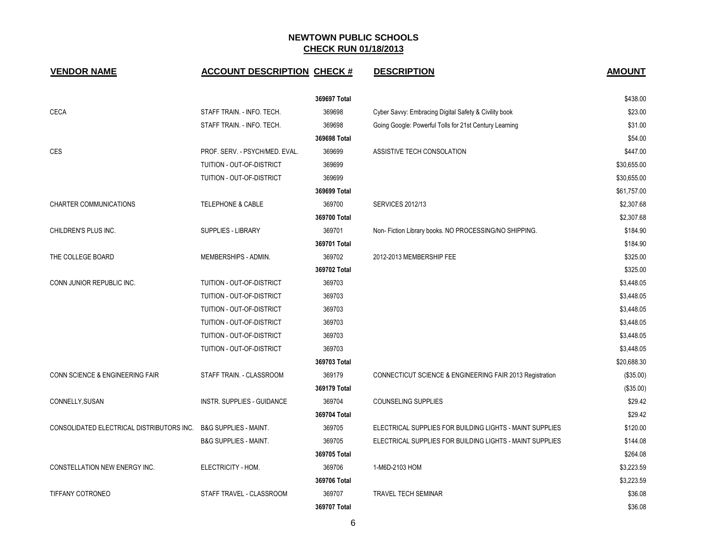| <b>VENDOR NAME</b>                                              | <b>ACCOUNT DESCRIPTION CHECK #</b> |              | <b>DESCRIPTION</b>                                       | <b>AMOUNT</b> |
|-----------------------------------------------------------------|------------------------------------|--------------|----------------------------------------------------------|---------------|
|                                                                 |                                    | 369697 Total |                                                          | \$438.00      |
| <b>CECA</b>                                                     | STAFF TRAIN. - INFO. TECH.         | 369698       | Cyber Savvy: Embracing Digital Safety & Civility book    | \$23.00       |
|                                                                 | STAFF TRAIN. - INFO. TECH.         | 369698       | Going Google: Powerful Tolls for 21st Century Learning   | \$31.00       |
|                                                                 |                                    | 369698 Total |                                                          | \$54.00       |
| <b>CES</b>                                                      | PROF. SERV. - PSYCH/MED. EVAL.     | 369699       | ASSISTIVE TECH CONSOLATION                               | \$447.00      |
|                                                                 | TUITION - OUT-OF-DISTRICT          | 369699       |                                                          | \$30,655.00   |
|                                                                 | TUITION - OUT-OF-DISTRICT          | 369699       |                                                          | \$30,655.00   |
|                                                                 |                                    | 369699 Total |                                                          | \$61,757.00   |
| <b>CHARTER COMMUNICATIONS</b>                                   | <b>TELEPHONE &amp; CABLE</b>       | 369700       | <b>SERVICES 2012/13</b>                                  | \$2,307.68    |
|                                                                 |                                    | 369700 Total |                                                          | \$2,307.68    |
| CHILDREN'S PLUS INC.                                            | <b>SUPPLIES - LIBRARY</b>          | 369701       | Non- Fiction Library books. NO PROCESSING/NO SHIPPING.   | \$184.90      |
|                                                                 |                                    | 369701 Total |                                                          | \$184.90      |
| THE COLLEGE BOARD                                               | MEMBERSHIPS - ADMIN.               | 369702       | 2012-2013 MEMBERSHIP FEE                                 | \$325.00      |
|                                                                 |                                    | 369702 Total |                                                          | \$325.00      |
| CONN JUNIOR REPUBLIC INC.                                       | TUITION - OUT-OF-DISTRICT          | 369703       |                                                          | \$3,448.05    |
|                                                                 | TUITION - OUT-OF-DISTRICT          | 369703       |                                                          | \$3,448.05    |
|                                                                 | TUITION - OUT-OF-DISTRICT          | 369703       |                                                          | \$3,448.05    |
|                                                                 | TUITION - OUT-OF-DISTRICT          | 369703       |                                                          | \$3,448.05    |
|                                                                 | TUITION - OUT-OF-DISTRICT          | 369703       |                                                          | \$3,448.05    |
|                                                                 | TUITION - OUT-OF-DISTRICT          | 369703       |                                                          | \$3,448.05    |
|                                                                 |                                    | 369703 Total |                                                          | \$20,688.30   |
| CONN SCIENCE & ENGINEERING FAIR                                 | STAFF TRAIN. - CLASSROOM           | 369179       | CONNECTICUT SCIENCE & ENGINEERING FAIR 2013 Registration | (\$35.00)     |
|                                                                 |                                    | 369179 Total |                                                          | (\$35.00)     |
| CONNELLY, SUSAN                                                 | INSTR. SUPPLIES - GUIDANCE         | 369704       | <b>COUNSELING SUPPLIES</b>                               | \$29.42       |
|                                                                 |                                    | 369704 Total |                                                          | \$29.42       |
| CONSOLIDATED ELECTRICAL DISTRIBUTORS INC. B&G SUPPLIES - MAINT. |                                    | 369705       | ELECTRICAL SUPPLIES FOR BUILDING LIGHTS - MAINT SUPPLIES | \$120.00      |
|                                                                 | <b>B&amp;G SUPPLIES - MAINT.</b>   | 369705       | ELECTRICAL SUPPLIES FOR BUILDING LIGHTS - MAINT SUPPLIES | \$144.08      |
|                                                                 |                                    | 369705 Total |                                                          | \$264.08      |
| CONSTELLATION NEW ENERGY INC.                                   | ELECTRICITY - HOM.                 | 369706       | 1-M6D-2103 HOM                                           | \$3,223.59    |
|                                                                 |                                    | 369706 Total |                                                          | \$3,223.59    |
| <b>TIFFANY COTRONEO</b>                                         | STAFF TRAVEL - CLASSROOM           | 369707       | <b>TRAVEL TECH SEMINAR</b>                               | \$36.08       |
|                                                                 |                                    | 369707 Total |                                                          | \$36.08       |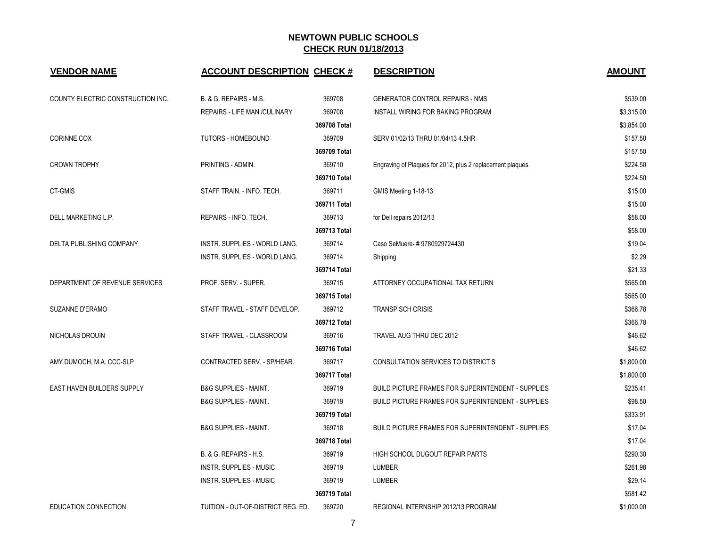| <b>VENDOR NAME</b>                | <b>ACCOUNT DESCRIPTION CHECK #</b> |              | <b>DESCRIPTION</b>                                         | <b>AMOUNT</b> |
|-----------------------------------|------------------------------------|--------------|------------------------------------------------------------|---------------|
| COUNTY ELECTRIC CONSTRUCTION INC. | B. & G. REPAIRS - M.S.             | 369708       | <b>GENERATOR CONTROL REPAIRS - NMS</b>                     | \$539.00      |
|                                   | REPAIRS - LIFE MAN./CULINARY       | 369708       | INSTALL WIRING FOR BAKING PROGRAM                          | \$3,315.00    |
|                                   |                                    | 369708 Total |                                                            | \$3,854.00    |
| <b>CORINNE COX</b>                | TUTORS - HOMEBOUND                 | 369709       | SERV 01/02/13 THRU 01/04/13 4.5HR                          | \$157.50      |
|                                   |                                    | 369709 Total |                                                            | \$157.50      |
| <b>CROWN TROPHY</b>               | PRINTING - ADMIN.                  | 369710       | Engraving of Plaques for 2012, plus 2 replacement plaques. | \$224.50      |
|                                   |                                    | 369710 Total |                                                            | \$224.50      |
| CT-GMIS                           | STAFF TRAIN. - INFO. TECH.         | 369711       | GMIS Meeting 1-18-13                                       | \$15.00       |
|                                   |                                    | 369711 Total |                                                            | \$15.00       |
| DELL MARKETING L.P.               | REPAIRS - INFO. TECH.              | 369713       | for Dell repairs 2012/13                                   | \$58.00       |
|                                   |                                    | 369713 Total |                                                            | \$58.00       |
| DELTA PUBLISHING COMPANY          | INSTR. SUPPLIES - WORLD LANG.      | 369714       | Caso SeMuere-#9780929724430                                | \$19.04       |
|                                   | INSTR. SUPPLIES - WORLD LANG.      | 369714       | Shipping                                                   | \$2.29        |
|                                   |                                    | 369714 Total |                                                            | \$21.33       |
| DEPARTMENT OF REVENUE SERVICES    | PROF. SERV. - SUPER.               | 369715       | ATTORNEY OCCUPATIONAL TAX RETURN                           | \$565.00      |
|                                   |                                    | 369715 Total |                                                            | \$565.00      |
| SUZANNE D'ERAMO                   | STAFF TRAVEL - STAFF DEVELOP.      | 369712       | <b>TRANSP SCH CRISIS</b>                                   | \$366.78      |
|                                   |                                    | 369712 Total |                                                            | \$366.78      |
| NICHOLAS DROUIN                   | STAFF TRAVEL - CLASSROOM           | 369716       | TRAVEL AUG THRU DEC 2012                                   | \$46.62       |
|                                   |                                    | 369716 Total |                                                            | \$46.62       |
| AMY DUMOCH, M.A. CCC-SLP          | CONTRACTED SERV. - SP/HEAR.        | 369717       | CONSULTATION SERVICES TO DISTRICT S                        | \$1,800.00    |
|                                   |                                    | 369717 Total |                                                            | \$1,800.00    |
| <b>EAST HAVEN BUILDERS SUPPLY</b> | <b>B&amp;G SUPPLIES - MAINT.</b>   | 369719       | <b>BUILD PICTURE FRAMES FOR SUPERINTENDENT - SUPPLIES</b>  | \$235.41      |
|                                   | <b>B&amp;G SUPPLIES - MAINT.</b>   | 369719       | BUILD PICTURE FRAMES FOR SUPERINTENDENT - SUPPLIES         | \$98.50       |
|                                   |                                    | 369719 Total |                                                            | \$333.91      |
|                                   | <b>B&amp;G SUPPLIES - MAINT.</b>   | 369718       | BUILD PICTURE FRAMES FOR SUPERINTENDENT - SUPPLIES         | \$17.04       |
|                                   |                                    | 369718 Total |                                                            | \$17.04       |
|                                   | B. & G. REPAIRS - H.S.             | 369719       | HIGH SCHOOL DUGOUT REPAIR PARTS                            | \$290.30      |
|                                   | <b>INSTR. SUPPLIES - MUSIC</b>     | 369719       | LUMBER                                                     | \$261.98      |
|                                   | <b>INSTR. SUPPLIES - MUSIC</b>     | 369719       | <b>LUMBER</b>                                              | \$29.14       |
|                                   |                                    | 369719 Total |                                                            | \$581.42      |
| <b>EDUCATION CONNECTION</b>       | TUITION - OUT-OF-DISTRICT REG. ED. | 369720       | REGIONAL INTERNSHIP 2012/13 PROGRAM                        | \$1,000.00    |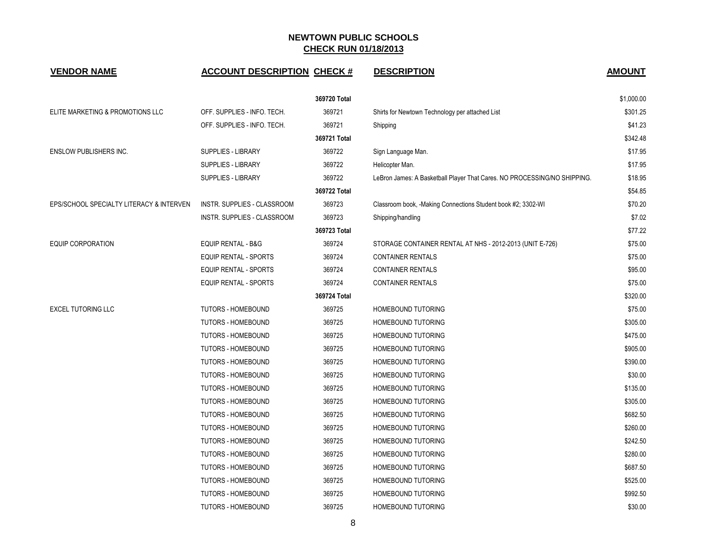| <b>VENDOR NAME</b>                       | <b>ACCOUNT DESCRIPTION CHECK #</b> |              | <b>DESCRIPTION</b>                                                       | <b>AMOUNT</b> |
|------------------------------------------|------------------------------------|--------------|--------------------------------------------------------------------------|---------------|
|                                          |                                    | 369720 Total |                                                                          | \$1,000.00    |
| ELITE MARKETING & PROMOTIONS LLC         | OFF. SUPPLIES - INFO. TECH.        | 369721       | Shirts for Newtown Technology per attached List                          | \$301.25      |
|                                          | OFF. SUPPLIES - INFO. TECH.        | 369721       | Shipping                                                                 | \$41.23       |
|                                          |                                    | 369721 Total |                                                                          | \$342.48      |
| <b>ENSLOW PUBLISHERS INC.</b>            | <b>SUPPLIES - LIBRARY</b>          | 369722       | Sign Language Man.                                                       | \$17.95       |
|                                          | <b>SUPPLIES - LIBRARY</b>          | 369722       | Helicopter Man.                                                          | \$17.95       |
|                                          | <b>SUPPLIES - LIBRARY</b>          | 369722       | LeBron James: A Basketball Player That Cares. NO PROCESSING/NO SHIPPING. | \$18.95       |
|                                          |                                    | 369722 Total |                                                                          | \$54.85       |
| EPS/SCHOOL SPECIALTY LITERACY & INTERVEN | INSTR. SUPPLIES - CLASSROOM        | 369723       | Classroom book, -Making Connections Student book #2; 3302-WI             | \$70.20       |
|                                          | INSTR. SUPPLIES - CLASSROOM        | 369723       | Shipping/handling                                                        | \$7.02        |
|                                          |                                    | 369723 Total |                                                                          | \$77.22       |
| <b>EQUIP CORPORATION</b>                 | EQUIP RENTAL - B&G                 | 369724       | STORAGE CONTAINER RENTAL AT NHS - 2012-2013 (UNIT E-726)                 | \$75.00       |
|                                          | EQUIP RENTAL - SPORTS              | 369724       | <b>CONTAINER RENTALS</b>                                                 | \$75.00       |
|                                          | <b>EQUIP RENTAL - SPORTS</b>       | 369724       | <b>CONTAINER RENTALS</b>                                                 | \$95.00       |
|                                          | <b>EQUIP RENTAL - SPORTS</b>       | 369724       | <b>CONTAINER RENTALS</b>                                                 | \$75.00       |
|                                          |                                    | 369724 Total |                                                                          | \$320.00      |
| <b>EXCEL TUTORING LLC</b>                | <b>TUTORS - HOMEBOUND</b>          | 369725       | HOMEBOUND TUTORING                                                       | \$75.00       |
|                                          | <b>TUTORS - HOMEBOUND</b>          | 369725       | HOMEBOUND TUTORING                                                       | \$305.00      |
|                                          | <b>TUTORS - HOMEBOUND</b>          | 369725       | HOMEBOUND TUTORING                                                       | \$475.00      |
|                                          | <b>TUTORS - HOMEBOUND</b>          | 369725       | HOMEBOUND TUTORING                                                       | \$905.00      |
|                                          | <b>TUTORS - HOMEBOUND</b>          | 369725       | <b>HOMEBOUND TUTORING</b>                                                | \$390.00      |
|                                          | <b>TUTORS - HOMEBOUND</b>          | 369725       | HOMEBOUND TUTORING                                                       | \$30.00       |
|                                          | TUTORS - HOMEBOUND                 | 369725       | HOMEBOUND TUTORING                                                       | \$135.00      |
|                                          | <b>TUTORS - HOMEBOUND</b>          | 369725       | HOMEBOUND TUTORING                                                       | \$305.00      |
|                                          | <b>TUTORS - HOMEBOUND</b>          | 369725       | HOMEBOUND TUTORING                                                       | \$682.50      |
|                                          | <b>TUTORS - HOMEBOUND</b>          | 369725       | <b>HOMEBOUND TUTORING</b>                                                | \$260.00      |
|                                          | <b>TUTORS - HOMEBOUND</b>          | 369725       | HOMEBOUND TUTORING                                                       | \$242.50      |
|                                          | TUTORS - HOMEBOUND                 | 369725       | HOMEBOUND TUTORING                                                       | \$280.00      |
|                                          | <b>TUTORS - HOMEBOUND</b>          | 369725       | HOMEBOUND TUTORING                                                       | \$687.50      |
|                                          | <b>TUTORS - HOMEBOUND</b>          | 369725       | HOMEBOUND TUTORING                                                       | \$525.00      |
|                                          | <b>TUTORS - HOMEBOUND</b>          | 369725       | HOMEBOUND TUTORING                                                       | \$992.50      |
|                                          | <b>TUTORS - HOMEBOUND</b>          | 369725       | HOMEBOUND TUTORING                                                       | \$30.00       |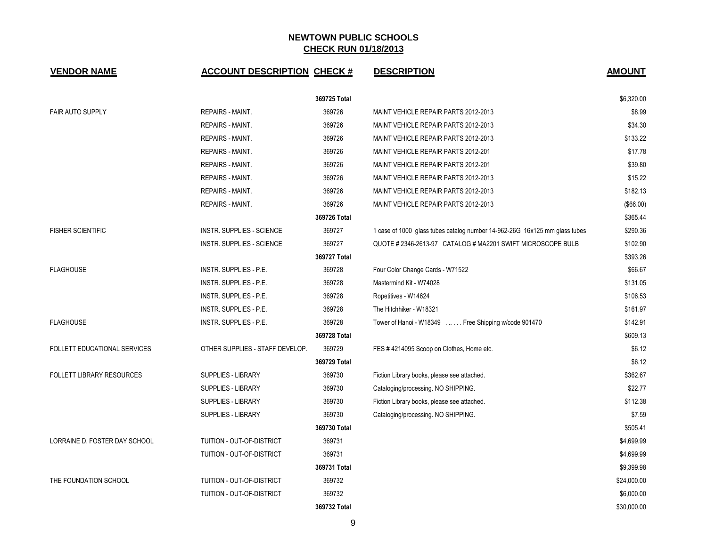| <b>VENDOR NAME</b>                  | <b>ACCOUNT DESCRIPTION CHECK #</b> |              | <b>DESCRIPTION</b>                                                         | <b>AMOUNT</b> |
|-------------------------------------|------------------------------------|--------------|----------------------------------------------------------------------------|---------------|
|                                     |                                    | 369725 Total |                                                                            | \$6,320.00    |
| <b>FAIR AUTO SUPPLY</b>             | <b>REPAIRS - MAINT.</b>            | 369726       | MAINT VEHICLE REPAIR PARTS 2012-2013                                       | \$8.99        |
|                                     | <b>REPAIRS - MAINT.</b>            | 369726       | MAINT VEHICLE REPAIR PARTS 2012-2013                                       | \$34.30       |
|                                     | <b>REPAIRS - MAINT.</b>            | 369726       | MAINT VEHICLE REPAIR PARTS 2012-2013                                       | \$133.22      |
|                                     | REPAIRS - MAINT.                   | 369726       | MAINT VEHICLE REPAIR PARTS 2012-201                                        | \$17.78       |
|                                     | <b>REPAIRS - MAINT.</b>            | 369726       | MAINT VEHICLE REPAIR PARTS 2012-201                                        | \$39.80       |
|                                     | <b>REPAIRS - MAINT.</b>            | 369726       | MAINT VEHICLE REPAIR PARTS 2012-2013                                       | \$15.22       |
|                                     | <b>REPAIRS - MAINT.</b>            | 369726       | MAINT VEHICLE REPAIR PARTS 2012-2013                                       | \$182.13      |
|                                     | REPAIRS - MAINT.                   | 369726       | MAINT VEHICLE REPAIR PARTS 2012-2013                                       | (\$66.00)     |
|                                     |                                    | 369726 Total |                                                                            | \$365.44      |
| <b>FISHER SCIENTIFIC</b>            | <b>INSTR. SUPPLIES - SCIENCE</b>   | 369727       | 1 case of 1000 glass tubes catalog number 14-962-26G 16x125 mm glass tubes | \$290.36      |
|                                     | <b>INSTR. SUPPLIES - SCIENCE</b>   | 369727       | QUOTE # 2346-2613-97 CATALOG # MA2201 SWIFT MICROSCOPE BULB                | \$102.90      |
|                                     |                                    | 369727 Total |                                                                            | \$393.26      |
| <b>FLAGHOUSE</b>                    | INSTR. SUPPLIES - P.E.             | 369728       | Four Color Change Cards - W71522                                           | \$66.67       |
|                                     | INSTR. SUPPLIES - P.E.             | 369728       | Mastermind Kit - W74028                                                    | \$131.05      |
|                                     | INSTR. SUPPLIES - P.E.             | 369728       | Ropetitives - W14624                                                       | \$106.53      |
|                                     | INSTR. SUPPLIES - P.E.             | 369728       | The Hitchhiker - W18321                                                    | \$161.97      |
| <b>FLAGHOUSE</b>                    | INSTR. SUPPLIES - P.E.             | 369728       | Tower of Hanoi - W18349  Free Shipping w/code 901470                       | \$142.91      |
|                                     |                                    | 369728 Total |                                                                            | \$609.13      |
| <b>FOLLETT EDUCATIONAL SERVICES</b> | OTHER SUPPLIES - STAFF DEVELOP.    | 369729       | FES #4214095 Scoop on Clothes, Home etc.                                   | \$6.12        |
|                                     |                                    | 369729 Total |                                                                            | \$6.12        |
| <b>FOLLETT LIBRARY RESOURCES</b>    | SUPPLIES - LIBRARY                 | 369730       | Fiction Library books, please see attached.                                | \$362.67      |
|                                     | SUPPLIES - LIBRARY                 | 369730       | Cataloging/processing. NO SHIPPING.                                        | \$22.77       |
|                                     | <b>SUPPLIES - LIBRARY</b>          | 369730       | Fiction Library books, please see attached.                                | \$112.38      |
|                                     | SUPPLIES - LIBRARY                 | 369730       | Cataloging/processing. NO SHIPPING.                                        | \$7.59        |
|                                     |                                    | 369730 Total |                                                                            | \$505.41      |
| LORRAINE D. FOSTER DAY SCHOOL       | TUITION - OUT-OF-DISTRICT          | 369731       |                                                                            | \$4,699.99    |
|                                     | TUITION - OUT-OF-DISTRICT          | 369731       |                                                                            | \$4,699.99    |
|                                     |                                    | 369731 Total |                                                                            | \$9,399.98    |
| THE FOUNDATION SCHOOL               | TUITION - OUT-OF-DISTRICT          | 369732       |                                                                            | \$24,000.00   |
|                                     | TUITION - OUT-OF-DISTRICT          | 369732       |                                                                            | \$6,000.00    |
|                                     |                                    | 369732 Total |                                                                            | \$30,000.00   |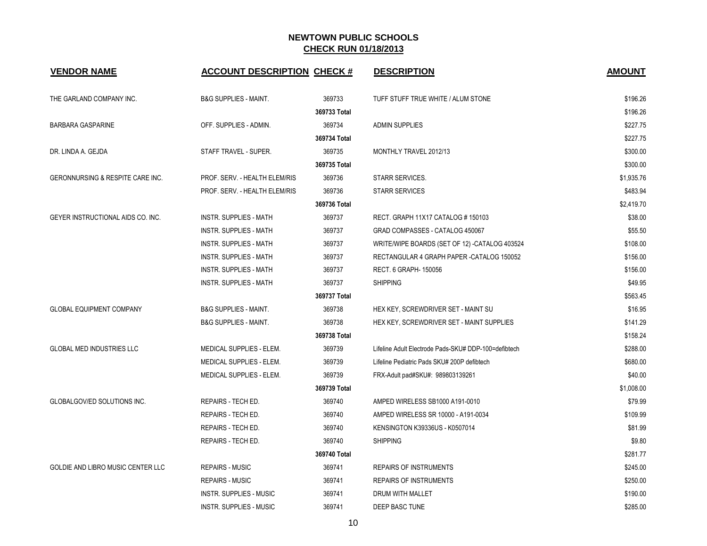| <b>VENDOR NAME</b>                | <b>ACCOUNT DESCRIPTION CHECK #</b> |              | <b>DESCRIPTION</b>                                   | <b>AMOUNT</b> |
|-----------------------------------|------------------------------------|--------------|------------------------------------------------------|---------------|
| THE GARLAND COMPANY INC.          | <b>B&amp;G SUPPLIES - MAINT.</b>   | 369733       | TUFF STUFF TRUE WHITE / ALUM STONE                   | \$196.26      |
|                                   |                                    | 369733 Total |                                                      | \$196.26      |
| <b>BARBARA GASPARINE</b>          | OFF. SUPPLIES - ADMIN.             | 369734       | <b>ADMIN SUPPLIES</b>                                | \$227.75      |
|                                   |                                    | 369734 Total |                                                      | \$227.75      |
| DR. LINDA A. GEJDA                | STAFF TRAVEL - SUPER.              | 369735       | MONTHLY TRAVEL 2012/13                               | \$300.00      |
|                                   |                                    | 369735 Total |                                                      | \$300.00      |
| GERONNURSING & RESPITE CARE INC.  | PROF. SERV. - HEALTH ELEM/RIS      | 369736       | STARR SERVICES.                                      | \$1,935.76    |
|                                   | PROF. SERV. - HEALTH ELEM/RIS      | 369736       | <b>STARR SERVICES</b>                                | \$483.94      |
|                                   |                                    | 369736 Total |                                                      | \$2.419.70    |
| GEYER INSTRUCTIONAL AIDS CO. INC. | <b>INSTR. SUPPLIES - MATH</b>      | 369737       | RECT. GRAPH 11X17 CATALOG #150103                    | \$38.00       |
|                                   | <b>INSTR. SUPPLIES - MATH</b>      | 369737       | GRAD COMPASSES - CATALOG 450067                      | \$55.50       |
|                                   | <b>INSTR. SUPPLIES - MATH</b>      | 369737       | WRITE/WIPE BOARDS (SET OF 12) - CATALOG 403524       | \$108.00      |
|                                   | <b>INSTR. SUPPLIES - MATH</b>      | 369737       | RECTANGULAR 4 GRAPH PAPER-CATALOG 150052             | \$156.00      |
|                                   | INSTR. SUPPLIES - MATH             | 369737       | RECT. 6 GRAPH- 150056                                | \$156.00      |
|                                   | <b>INSTR. SUPPLIES - MATH</b>      | 369737       | <b>SHIPPING</b>                                      | \$49.95       |
|                                   |                                    | 369737 Total |                                                      | \$563.45      |
| <b>GLOBAL EQUIPMENT COMPANY</b>   | <b>B&amp;G SUPPLIES - MAINT.</b>   | 369738       | HEX KEY, SCREWDRIVER SET - MAINT SU                  | \$16.95       |
|                                   | <b>B&amp;G SUPPLIES - MAINT.</b>   | 369738       | HEX KEY, SCREWDRIVER SET - MAINT SUPPLIES            | \$141.29      |
|                                   |                                    | 369738 Total |                                                      | \$158.24      |
| <b>GLOBAL MED INDUSTRIES LLC</b>  | MEDICAL SUPPLIES - ELEM.           | 369739       | Lifeline Adult Electrode Pads-SKU# DDP-100=defibtech | \$288.00      |
|                                   | MEDICAL SUPPLIES - ELEM.           | 369739       | Lifeline Pediatric Pads SKU# 200P defibtech          | \$680.00      |
|                                   | MEDICAL SUPPLIES - ELEM.           | 369739       | FRX-Adult pad#SKU#: 989803139261                     | \$40.00       |
|                                   |                                    | 369739 Total |                                                      | \$1,008.00    |
| GLOBALGOV/ED SOLUTIONS INC.       | REPAIRS - TECH ED.                 | 369740       | AMPED WIRELESS SB1000 A191-0010                      | \$79.99       |
|                                   | REPAIRS - TECH ED.                 | 369740       | AMPED WIRELESS SR 10000 - A191-0034                  | \$109.99      |
|                                   | REPAIRS - TECH ED.                 | 369740       | KENSINGTON K39336US - K0507014                       | \$81.99       |
|                                   | REPAIRS - TECH ED.                 | 369740       | <b>SHIPPING</b>                                      | \$9.80        |
|                                   |                                    | 369740 Total |                                                      | \$281.77      |
| GOLDIE AND LIBRO MUSIC CENTER LLC | <b>REPAIRS - MUSIC</b>             | 369741       | <b>REPAIRS OF INSTRUMENTS</b>                        | \$245.00      |
|                                   | <b>REPAIRS - MUSIC</b>             | 369741       | <b>REPAIRS OF INSTRUMENTS</b>                        | \$250.00      |
|                                   | INSTR. SUPPLIES - MUSIC            | 369741       | DRUM WITH MALLET                                     | \$190.00      |
|                                   | <b>INSTR. SUPPLIES - MUSIC</b>     | 369741       | DEEP BASC TUNE                                       | \$285.00      |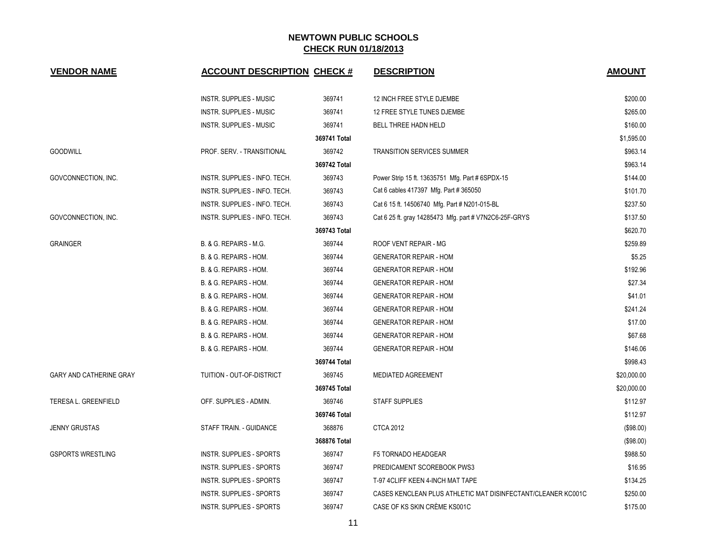| <b>VENDOR NAME</b>             | <b>ACCOUNT DESCRIPTION CHECK #</b> |              | <b>DESCRIPTION</b>                                           | <b>AMOUNT</b> |
|--------------------------------|------------------------------------|--------------|--------------------------------------------------------------|---------------|
|                                | <b>INSTR. SUPPLIES - MUSIC</b>     | 369741       | 12 INCH FREE STYLE DJEMBE                                    | \$200.00      |
|                                | <b>INSTR. SUPPLIES - MUSIC</b>     | 369741       | 12 FREE STYLE TUNES DJEMBE                                   | \$265.00      |
|                                | <b>INSTR. SUPPLIES - MUSIC</b>     | 369741       | BELL THREE HADN HELD                                         | \$160.00      |
|                                |                                    | 369741 Total |                                                              | \$1,595.00    |
| <b>GOODWILL</b>                | PROF. SERV. - TRANSITIONAL         | 369742       | <b>TRANSITION SERVICES SUMMER</b>                            | \$963.14      |
|                                |                                    | 369742 Total |                                                              | \$963.14      |
| GOVCONNECTION, INC.            | INSTR. SUPPLIES - INFO. TECH.      | 369743       | Power Strip 15 ft. 13635751 Mfg. Part # 6SPDX-15             | \$144.00      |
|                                | INSTR. SUPPLIES - INFO. TECH.      | 369743       | Cat 6 cables 417397 Mfg. Part #365050                        | \$101.70      |
|                                | INSTR. SUPPLIES - INFO. TECH.      | 369743       | Cat 6 15 ft. 14506740 Mfg. Part # N201-015-BL                | \$237.50      |
| GOVCONNECTION, INC.            | INSTR. SUPPLIES - INFO. TECH.      | 369743       | Cat 6 25 ft. gray 14285473 Mfg. part # V7N2C6-25F-GRYS       | \$137.50      |
|                                |                                    | 369743 Total |                                                              | \$620.70      |
| <b>GRAINGER</b>                | B. & G. REPAIRS - M.G.             | 369744       | ROOF VENT REPAIR - MG                                        | \$259.89      |
|                                | B. & G. REPAIRS - HOM.             | 369744       | <b>GENERATOR REPAIR - HOM</b>                                | \$5.25        |
|                                | B. & G. REPAIRS - HOM.             | 369744       | <b>GENERATOR REPAIR - HOM</b>                                | \$192.96      |
|                                | B. & G. REPAIRS - HOM.             | 369744       | <b>GENERATOR REPAIR - HOM</b>                                | \$27.34       |
|                                | B. & G. REPAIRS - HOM.             | 369744       | <b>GENERATOR REPAIR - HOM</b>                                | \$41.01       |
|                                | B. & G. REPAIRS - HOM.             | 369744       | <b>GENERATOR REPAIR - HOM</b>                                | \$241.24      |
|                                | B. & G. REPAIRS - HOM.             | 369744       | <b>GENERATOR REPAIR - HOM</b>                                | \$17.00       |
|                                | B. & G. REPAIRS - HOM.             | 369744       | <b>GENERATOR REPAIR - HOM</b>                                | \$67.68       |
|                                | B. & G. REPAIRS - HOM.             | 369744       | <b>GENERATOR REPAIR - HOM</b>                                | \$146.06      |
|                                |                                    | 369744 Total |                                                              | \$998.43      |
| <b>GARY AND CATHERINE GRAY</b> | TUITION - OUT-OF-DISTRICT          | 369745       | <b>MEDIATED AGREEMENT</b>                                    | \$20,000.00   |
|                                |                                    | 369745 Total |                                                              | \$20,000.00   |
| <b>TERESA L. GREENFIELD</b>    | OFF. SUPPLIES - ADMIN.             | 369746       | <b>STAFF SUPPLIES</b>                                        | \$112.97      |
|                                |                                    | 369746 Total |                                                              | \$112.97      |
| <b>JENNY GRUSTAS</b>           | STAFF TRAIN. - GUIDANCE            | 368876       | <b>CTCA 2012</b>                                             | (\$98.00)     |
|                                |                                    | 368876 Total |                                                              | (\$98.00)     |
| <b>GSPORTS WRESTLING</b>       | <b>INSTR. SUPPLIES - SPORTS</b>    | 369747       | F5 TORNADO HEADGEAR                                          | \$988.50      |
|                                | <b>INSTR. SUPPLIES - SPORTS</b>    | 369747       | PREDICAMENT SCOREBOOK PWS3                                   | \$16.95       |
|                                | <b>INSTR. SUPPLIES - SPORTS</b>    | 369747       | T-97 4CLIFF KEEN 4-INCH MAT TAPE                             | \$134.25      |
|                                | <b>INSTR. SUPPLIES - SPORTS</b>    | 369747       | CASES KENCLEAN PLUS ATHLETIC MAT DISINFECTANT/CLEANER KC001C | \$250.00      |
|                                | INSTR. SUPPLIES - SPORTS           | 369747       | CASE OF KS SKIN CRÈME KS001C                                 | \$175.00      |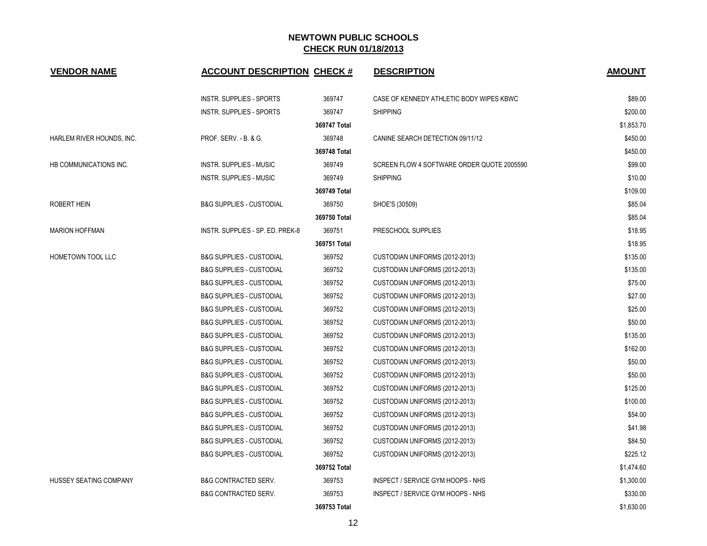| <b>VENDOR NAME</b>        | <b>ACCOUNT DESCRIPTION CHECK #</b>  |              | <b>DESCRIPTION</b>                         | <b>AMOUNT</b> |
|---------------------------|-------------------------------------|--------------|--------------------------------------------|---------------|
|                           | INSTR. SUPPLIES - SPORTS            | 369747       | CASE OF KENNEDY ATHLETIC BODY WIPES KBWC   | \$89.00       |
|                           | INSTR. SUPPLIES - SPORTS            | 369747       | <b>SHIPPING</b>                            | \$200.00      |
|                           |                                     | 369747 Total |                                            | \$1,853.70    |
| HARLEM RIVER HOUNDS, INC. | PROF. SERV. - B. & G.               | 369748       | CANINE SEARCH DETECTION 09/11/12           | \$450.00      |
|                           |                                     | 369748 Total |                                            | \$450.00      |
| HB COMMUNICATIONS INC.    | INSTR. SUPPLIES - MUSIC             | 369749       | SCREEN FLOW 4 SOFTWARE ORDER QUOTE 2005590 | \$99.00       |
|                           | INSTR. SUPPLIES - MUSIC             | 369749       | <b>SHIPPING</b>                            | \$10.00       |
|                           |                                     | 369749 Total |                                            | \$109.00      |
| <b>ROBERT HEIN</b>        | <b>B&amp;G SUPPLIES - CUSTODIAL</b> | 369750       | SHOE'S (30509)                             | \$85.04       |
|                           |                                     | 369750 Total |                                            | \$85.04       |
| <b>MARION HOFFMAN</b>     | INSTR. SUPPLIES - SP. ED. PREK-8    | 369751       | PRESCHOOL SUPPLIES                         | \$18.95       |
|                           |                                     | 369751 Total |                                            | \$18.95       |
| HOMETOWN TOOL LLC         | <b>B&amp;G SUPPLIES - CUSTODIAL</b> | 369752       | CUSTODIAN UNIFORMS (2012-2013)             | \$135.00      |
|                           | <b>B&amp;G SUPPLIES - CUSTODIAL</b> | 369752       | CUSTODIAN UNIFORMS (2012-2013)             | \$135.00      |
|                           | <b>B&amp;G SUPPLIES - CUSTODIAL</b> | 369752       | CUSTODIAN UNIFORMS (2012-2013)             | \$75.00       |
|                           | <b>B&amp;G SUPPLIES - CUSTODIAL</b> | 369752       | CUSTODIAN UNIFORMS (2012-2013)             | \$27.00       |
|                           | <b>B&amp;G SUPPLIES - CUSTODIAL</b> | 369752       | CUSTODIAN UNIFORMS (2012-2013)             | \$25.00       |
|                           | <b>B&amp;G SUPPLIES - CUSTODIAL</b> | 369752       | CUSTODIAN UNIFORMS (2012-2013)             | \$50.00       |
|                           | <b>B&amp;G SUPPLIES - CUSTODIAL</b> | 369752       | CUSTODIAN UNIFORMS (2012-2013)             | \$135.00      |
|                           | <b>B&amp;G SUPPLIES - CUSTODIAL</b> | 369752       | CUSTODIAN UNIFORMS (2012-2013)             | \$162.00      |
|                           | <b>B&amp;G SUPPLIES - CUSTODIAL</b> | 369752       | CUSTODIAN UNIFORMS (2012-2013)             | \$50.00       |
|                           | <b>B&amp;G SUPPLIES - CUSTODIAL</b> | 369752       | CUSTODIAN UNIFORMS (2012-2013)             | \$50.00       |
|                           | <b>B&amp;G SUPPLIES - CUSTODIAL</b> | 369752       | CUSTODIAN UNIFORMS (2012-2013)             | \$125.00      |
|                           | <b>B&amp;G SUPPLIES - CUSTODIAL</b> | 369752       | CUSTODIAN UNIFORMS (2012-2013)             | \$100.00      |
|                           | <b>B&amp;G SUPPLIES - CUSTODIAL</b> | 369752       | CUSTODIAN UNIFORMS (2012-2013)             | \$54.00       |
|                           | <b>B&amp;G SUPPLIES - CUSTODIAL</b> | 369752       | CUSTODIAN UNIFORMS (2012-2013)             | \$41.98       |
|                           | <b>B&amp;G SUPPLIES - CUSTODIAL</b> | 369752       | CUSTODIAN UNIFORMS (2012-2013)             | \$84.50       |
|                           | <b>B&amp;G SUPPLIES - CUSTODIAL</b> | 369752       | CUSTODIAN UNIFORMS (2012-2013)             | \$225.12      |
|                           |                                     | 369752 Total |                                            | \$1,474.60    |
| HUSSEY SEATING COMPANY    | <b>B&amp;G CONTRACTED SERV.</b>     | 369753       | INSPECT / SERVICE GYM HOOPS - NHS          | \$1,300.00    |
|                           | <b>B&amp;G CONTRACTED SERV.</b>     | 369753       | INSPECT / SERVICE GYM HOOPS - NHS          | \$330.00      |
|                           |                                     | 369753 Total |                                            | \$1,630.00    |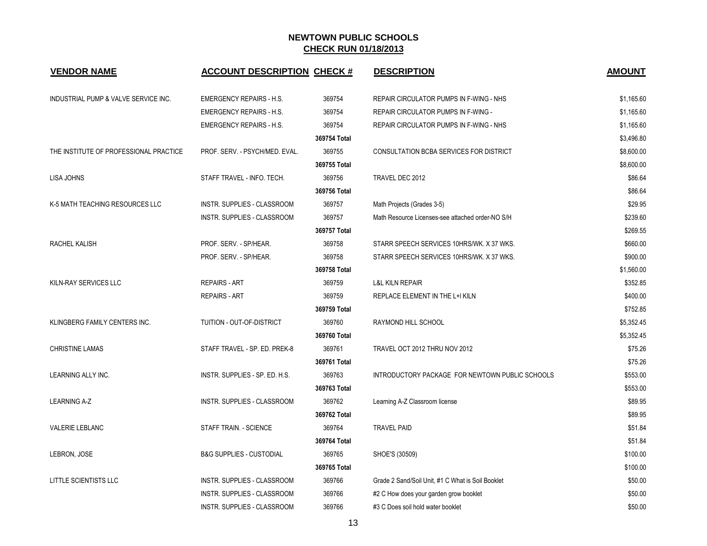| <b>VENDOR NAME</b>                     | <b>ACCOUNT DESCRIPTION CHECK #</b>  |              | <b>DESCRIPTION</b>                                | <b>AMOUNT</b> |
|----------------------------------------|-------------------------------------|--------------|---------------------------------------------------|---------------|
| INDUSTRIAL PUMP & VALVE SERVICE INC.   | <b>EMERGENCY REPAIRS - H.S.</b>     | 369754       | REPAIR CIRCULATOR PUMPS IN F-WING - NHS           | \$1,165.60    |
|                                        | <b>EMERGENCY REPAIRS - H.S.</b>     | 369754       | REPAIR CIRCULATOR PUMPS IN F-WING -               | \$1,165.60    |
|                                        | <b>EMERGENCY REPAIRS - H.S.</b>     | 369754       | REPAIR CIRCULATOR PUMPS IN F-WING - NHS           | \$1,165.60    |
|                                        |                                     | 369754 Total |                                                   | \$3,496.80    |
| THE INSTITUTE OF PROFESSIONAL PRACTICE | PROF. SERV. - PSYCH/MED. EVAL.      | 369755       | CONSULTATION BCBA SERVICES FOR DISTRICT           | \$8,600.00    |
|                                        |                                     | 369755 Total |                                                   | \$8,600.00    |
| <b>LISA JOHNS</b>                      | STAFF TRAVEL - INFO. TECH.          | 369756       | TRAVEL DEC 2012                                   | \$86.64       |
|                                        |                                     | 369756 Total |                                                   | \$86.64       |
| K-5 MATH TEACHING RESOURCES LLC        | <b>INSTR. SUPPLIES - CLASSROOM</b>  | 369757       | Math Projects (Grades 3-5)                        | \$29.95       |
|                                        | INSTR. SUPPLIES - CLASSROOM         | 369757       | Math Resource Licenses-see attached order-NO S/H  | \$239.60      |
|                                        |                                     | 369757 Total |                                                   | \$269.55      |
| RACHEL KALISH                          | PROF. SERV. - SP/HEAR.              | 369758       | STARR SPEECH SERVICES 10HRS/WK. X 37 WKS.         | \$660.00      |
|                                        | PROF. SERV. - SP/HEAR.              | 369758       | STARR SPEECH SERVICES 10HRS/WK. X 37 WKS.         | \$900.00      |
|                                        |                                     | 369758 Total |                                                   | \$1,560.00    |
| KILN-RAY SERVICES LLC                  | <b>REPAIRS - ART</b>                | 369759       | <b>L&amp;L KILN REPAIR</b>                        | \$352.85      |
|                                        | <b>REPAIRS - ART</b>                | 369759       | REPLACE ELEMENT IN THE L+I KILN                   | \$400.00      |
|                                        |                                     | 369759 Total |                                                   | \$752.85      |
| KLINGBERG FAMILY CENTERS INC.          | TUITION - OUT-OF-DISTRICT           | 369760       | RAYMOND HILL SCHOOL                               | \$5,352.45    |
|                                        |                                     | 369760 Total |                                                   | \$5,352.45    |
| <b>CHRISTINE LAMAS</b>                 | STAFF TRAVEL - SP. ED. PREK-8       | 369761       | TRAVEL OCT 2012 THRU NOV 2012                     | \$75.26       |
|                                        |                                     | 369761 Total |                                                   | \$75.26       |
| LEARNING ALLY INC.                     | INSTR. SUPPLIES - SP. ED. H.S.      | 369763       | INTRODUCTORY PACKAGE FOR NEWTOWN PUBLIC SCHOOLS   | \$553.00      |
|                                        |                                     | 369763 Total |                                                   | \$553.00      |
| <b>LEARNING A-Z</b>                    | INSTR. SUPPLIES - CLASSROOM         | 369762       | Learning A-Z Classroom license                    | \$89.95       |
|                                        |                                     | 369762 Total |                                                   | \$89.95       |
| VALERIE LEBLANC                        | STAFF TRAIN. - SCIENCE              | 369764       | <b>TRAVEL PAID</b>                                | \$51.84       |
|                                        |                                     | 369764 Total |                                                   | \$51.84       |
| LEBRON, JOSE                           | <b>B&amp;G SUPPLIES - CUSTODIAL</b> | 369765       | SHOE'S (30509)                                    | \$100.00      |
|                                        |                                     | 369765 Total |                                                   | \$100.00      |
| LITTLE SCIENTISTS LLC                  | INSTR. SUPPLIES - CLASSROOM         | 369766       | Grade 2 Sand/Soil Unit, #1 C What is Soil Booklet | \$50.00       |
|                                        | INSTR. SUPPLIES - CLASSROOM         | 369766       | #2 C How does your garden grow booklet            | \$50.00       |
|                                        | INSTR. SUPPLIES - CLASSROOM         | 369766       | #3 C Does soil hold water booklet                 | \$50.00       |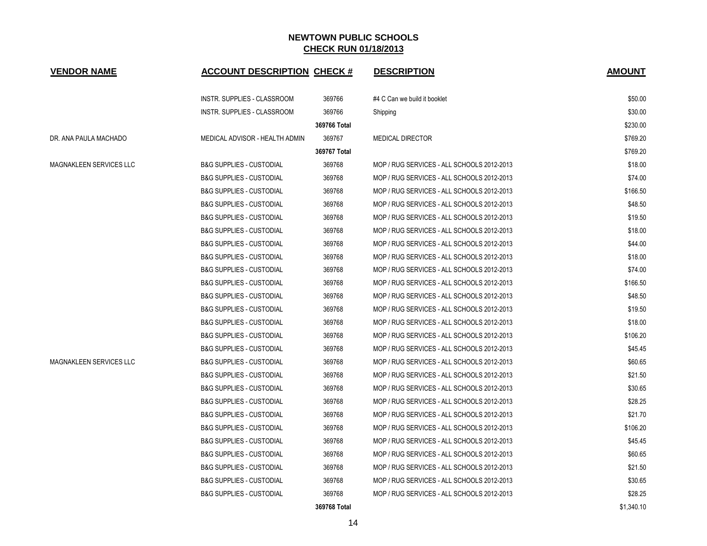| <b>VENDOR NAME</b>             | <b>ACCOUNT DESCRIPTION CHECK #</b>  |              | <b>DESCRIPTION</b>                         | <b>AMOUNT</b> |
|--------------------------------|-------------------------------------|--------------|--------------------------------------------|---------------|
|                                | INSTR. SUPPLIES - CLASSROOM         | 369766       | #4 C Can we build it booklet               | \$50.00       |
|                                | INSTR. SUPPLIES - CLASSROOM         | 369766       | Shipping                                   | \$30.00       |
|                                |                                     | 369766 Total |                                            | \$230.00      |
| DR. ANA PAULA MACHADO          | MEDICAL ADVISOR - HEALTH ADMIN      | 369767       | <b>MEDICAL DIRECTOR</b>                    | \$769.20      |
|                                |                                     | 369767 Total |                                            | \$769.20      |
| <b>MAGNAKLEEN SERVICES LLC</b> | <b>B&amp;G SUPPLIES - CUSTODIAL</b> | 369768       | MOP / RUG SERVICES - ALL SCHOOLS 2012-2013 | \$18.00       |
|                                | <b>B&amp;G SUPPLIES - CUSTODIAL</b> | 369768       | MOP / RUG SERVICES - ALL SCHOOLS 2012-2013 | \$74.00       |
|                                | <b>B&amp;G SUPPLIES - CUSTODIAL</b> | 369768       | MOP / RUG SERVICES - ALL SCHOOLS 2012-2013 | \$166.50      |
|                                | <b>B&amp;G SUPPLIES - CUSTODIAL</b> | 369768       | MOP / RUG SERVICES - ALL SCHOOLS 2012-2013 | \$48.50       |
|                                | <b>B&amp;G SUPPLIES - CUSTODIAL</b> | 369768       | MOP / RUG SERVICES - ALL SCHOOLS 2012-2013 | \$19.50       |
|                                | <b>B&amp;G SUPPLIES - CUSTODIAL</b> | 369768       | MOP / RUG SERVICES - ALL SCHOOLS 2012-2013 | \$18.00       |
|                                | <b>B&amp;G SUPPLIES - CUSTODIAL</b> | 369768       | MOP / RUG SERVICES - ALL SCHOOLS 2012-2013 | \$44.00       |
|                                | <b>B&amp;G SUPPLIES - CUSTODIAL</b> | 369768       | MOP / RUG SERVICES - ALL SCHOOLS 2012-2013 | \$18.00       |
|                                | <b>B&amp;G SUPPLIES - CUSTODIAL</b> | 369768       | MOP / RUG SERVICES - ALL SCHOOLS 2012-2013 | \$74.00       |
|                                | <b>B&amp;G SUPPLIES - CUSTODIAL</b> | 369768       | MOP / RUG SERVICES - ALL SCHOOLS 2012-2013 | \$166.50      |
|                                | <b>B&amp;G SUPPLIES - CUSTODIAL</b> | 369768       | MOP / RUG SERVICES - ALL SCHOOLS 2012-2013 | \$48.50       |
|                                | <b>B&amp;G SUPPLIES - CUSTODIAL</b> | 369768       | MOP / RUG SERVICES - ALL SCHOOLS 2012-2013 | \$19.50       |
|                                | <b>B&amp;G SUPPLIES - CUSTODIAL</b> | 369768       | MOP / RUG SERVICES - ALL SCHOOLS 2012-2013 | \$18.00       |
|                                | <b>B&amp;G SUPPLIES - CUSTODIAL</b> | 369768       | MOP / RUG SERVICES - ALL SCHOOLS 2012-2013 | \$106.20      |
|                                | <b>B&amp;G SUPPLIES - CUSTODIAL</b> | 369768       | MOP / RUG SERVICES - ALL SCHOOLS 2012-2013 | \$45.45       |
| <b>MAGNAKLEEN SERVICES LLC</b> | <b>B&amp;G SUPPLIES - CUSTODIAL</b> | 369768       | MOP / RUG SERVICES - ALL SCHOOLS 2012-2013 | \$60.65       |
|                                | <b>B&amp;G SUPPLIES - CUSTODIAL</b> | 369768       | MOP / RUG SERVICES - ALL SCHOOLS 2012-2013 | \$21.50       |
|                                | <b>B&amp;G SUPPLIES - CUSTODIAL</b> | 369768       | MOP / RUG SERVICES - ALL SCHOOLS 2012-2013 | \$30.65       |
|                                | <b>B&amp;G SUPPLIES - CUSTODIAL</b> | 369768       | MOP / RUG SERVICES - ALL SCHOOLS 2012-2013 | \$28.25       |
|                                | <b>B&amp;G SUPPLIES - CUSTODIAL</b> | 369768       | MOP / RUG SERVICES - ALL SCHOOLS 2012-2013 | \$21.70       |
|                                | <b>B&amp;G SUPPLIES - CUSTODIAL</b> | 369768       | MOP / RUG SERVICES - ALL SCHOOLS 2012-2013 | \$106.20      |
|                                | <b>B&amp;G SUPPLIES - CUSTODIAL</b> | 369768       | MOP / RUG SERVICES - ALL SCHOOLS 2012-2013 | \$45.45       |
|                                | <b>B&amp;G SUPPLIES - CUSTODIAL</b> | 369768       | MOP / RUG SERVICES - ALL SCHOOLS 2012-2013 | \$60.65       |
|                                | <b>B&amp;G SUPPLIES - CUSTODIAL</b> | 369768       | MOP / RUG SERVICES - ALL SCHOOLS 2012-2013 | \$21.50       |
|                                | <b>B&amp;G SUPPLIES - CUSTODIAL</b> | 369768       | MOP / RUG SERVICES - ALL SCHOOLS 2012-2013 | \$30.65       |
|                                | <b>B&amp;G SUPPLIES - CUSTODIAL</b> | 369768       | MOP / RUG SERVICES - ALL SCHOOLS 2012-2013 | \$28.25       |
|                                |                                     | 369768 Total |                                            | \$1,340.10    |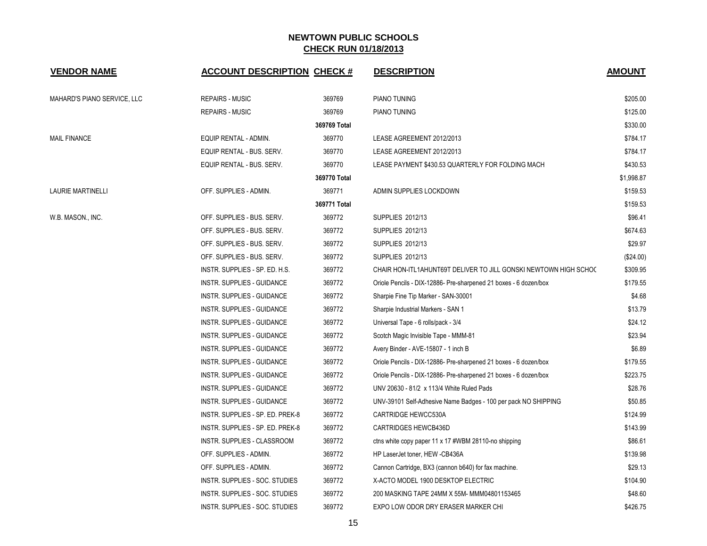| <b>VENDOR NAME</b>          | <b>ACCOUNT DESCRIPTION CHECK #</b> |              | <b>DESCRIPTION</b>                                               | <b>AMOUNT</b> |
|-----------------------------|------------------------------------|--------------|------------------------------------------------------------------|---------------|
| MAHARD'S PIANO SERVICE, LLC | REPAIRS - MUSIC                    | 369769       | PIANO TUNING                                                     | \$205.00      |
|                             | <b>REPAIRS - MUSIC</b>             | 369769       | PIANO TUNING                                                     | \$125.00      |
|                             |                                    | 369769 Total |                                                                  | \$330.00      |
| MAIL FINANCE                | EQUIP RENTAL - ADMIN.              | 369770       | LEASE AGREEMENT 2012/2013                                        | \$784.17      |
|                             | EQUIP RENTAL - BUS. SERV.          | 369770       | LEASE AGREEMENT 2012/2013                                        | \$784.17      |
|                             | EQUIP RENTAL - BUS. SERV.          | 369770       | LEASE PAYMENT \$430.53 QUARTERLY FOR FOLDING MACH                | \$430.53      |
|                             |                                    | 369770 Total |                                                                  | \$1,998.87    |
| LAURIE MARTINELLI           | OFF. SUPPLIES - ADMIN.             | 369771       | ADMIN SUPPLIES LOCKDOWN                                          | \$159.53      |
|                             |                                    | 369771 Total |                                                                  | \$159.53      |
| W.B. MASON., INC.           | OFF. SUPPLIES - BUS. SERV.         | 369772       | <b>SUPPLIES 2012/13</b>                                          | \$96.41       |
|                             | OFF. SUPPLIES - BUS. SERV.         | 369772       | <b>SUPPLIES 2012/13</b>                                          | \$674.63      |
|                             | OFF. SUPPLIES - BUS. SERV.         | 369772       | <b>SUPPLIES 2012/13</b>                                          | \$29.97       |
|                             | OFF. SUPPLIES - BUS. SERV.         | 369772       | SUPPLIES 2012/13                                                 | (\$24.00)     |
|                             | INSTR. SUPPLIES - SP. ED. H.S.     | 369772       | CHAIR HON-ITL1AHUNT69T DELIVER TO JILL GONSKI NEWTOWN HIGH SCHOC | \$309.95      |
|                             | <b>INSTR. SUPPLIES - GUIDANCE</b>  | 369772       | Oriole Pencils - DIX-12886- Pre-sharpened 21 boxes - 6 dozen/box | \$179.55      |
|                             | INSTR. SUPPLIES - GUIDANCE         | 369772       | Sharpie Fine Tip Marker - SAN-30001                              | \$4.68        |
|                             | INSTR. SUPPLIES - GUIDANCE         | 369772       | Sharpie Industrial Markers - SAN 1                               | \$13.79       |
|                             | INSTR. SUPPLIES - GUIDANCE         | 369772       | Universal Tape - 6 rolls/pack - 3/4                              | \$24.12       |
|                             | INSTR. SUPPLIES - GUIDANCE         | 369772       | Scotch Magic Invisible Tape - MMM-81                             | \$23.94       |
|                             | INSTR. SUPPLIES - GUIDANCE         | 369772       | Avery Binder - AVE-15807 - 1 inch B                              | \$6.89        |
|                             | <b>INSTR. SUPPLIES - GUIDANCE</b>  | 369772       | Oriole Pencils - DIX-12886- Pre-sharpened 21 boxes - 6 dozen/box | \$179.55      |
|                             | INSTR. SUPPLIES - GUIDANCE         | 369772       | Oriole Pencils - DIX-12886- Pre-sharpened 21 boxes - 6 dozen/box | \$223.75      |
|                             | INSTR. SUPPLIES - GUIDANCE         | 369772       | UNV 20630 - 81/2 x 113/4 White Ruled Pads                        | \$28.76       |
|                             | INSTR. SUPPLIES - GUIDANCE         | 369772       | UNV-39101 Self-Adhesive Name Badges - 100 per pack NO SHIPPING   | \$50.85       |
|                             | INSTR. SUPPLIES - SP. ED. PREK-8   | 369772       | CARTRIDGE HEWCC530A                                              | \$124.99      |
|                             | INSTR. SUPPLIES - SP. ED. PREK-8   | 369772       | <b>CARTRIDGES HEWCB436D</b>                                      | \$143.99      |
|                             | INSTR. SUPPLIES - CLASSROOM        | 369772       | ctns white copy paper 11 x 17 #WBM 28110-no shipping             | \$86.61       |
|                             | OFF. SUPPLIES - ADMIN.             | 369772       | HP LaserJet toner, HEW -CB436A                                   | \$139.98      |
|                             | OFF. SUPPLIES - ADMIN.             | 369772       | Cannon Cartridge, BX3 (cannon b640) for fax machine.             | \$29.13       |
|                             | INSTR. SUPPLIES - SOC. STUDIES     | 369772       | X-ACTO MODEL 1900 DESKTOP ELECTRIC                               | \$104.90      |
|                             | INSTR. SUPPLIES - SOC. STUDIES     | 369772       | 200 MASKING TAPE 24MM X 55M- MMM04801153465                      | \$48.60       |
|                             | INSTR. SUPPLIES - SOC. STUDIES     | 369772       | EXPO LOW ODOR DRY ERASER MARKER CHI                              | \$426.75      |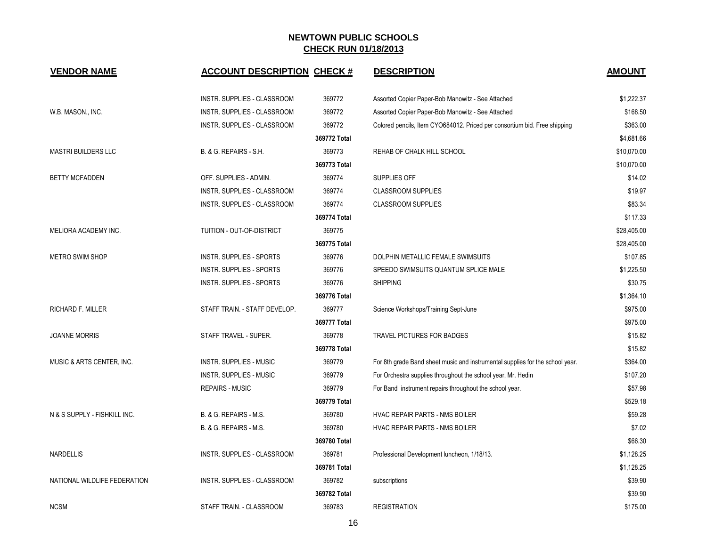| <b>VENDOR NAME</b>           | <b>ACCOUNT DESCRIPTION CHECK #</b> |              | <b>DESCRIPTION</b>                                                            | <b>AMOUNT</b> |
|------------------------------|------------------------------------|--------------|-------------------------------------------------------------------------------|---------------|
|                              | INSTR. SUPPLIES - CLASSROOM        | 369772       | Assorted Copier Paper-Bob Manowitz - See Attached                             | \$1,222.37    |
| W.B. MASON., INC.            | INSTR. SUPPLIES - CLASSROOM        | 369772       | Assorted Copier Paper-Bob Manowitz - See Attached                             | \$168.50      |
|                              | <b>INSTR. SUPPLIES - CLASSROOM</b> | 369772       | Colored pencils, Item CYO684012. Priced per consortium bid. Free shipping     | \$363.00      |
|                              |                                    | 369772 Total |                                                                               | \$4,681.66    |
| <b>MASTRI BUILDERS LLC</b>   | B. & G. REPAIRS - S.H.             | 369773       | REHAB OF CHALK HILL SCHOOL                                                    | \$10,070.00   |
|                              |                                    | 369773 Total |                                                                               | \$10,070.00   |
| <b>BETTY MCFADDEN</b>        | OFF. SUPPLIES - ADMIN.             | 369774       | SUPPLIES OFF                                                                  | \$14.02       |
|                              | INSTR. SUPPLIES - CLASSROOM        | 369774       | <b>CLASSROOM SUPPLIES</b>                                                     | \$19.97       |
|                              | <b>INSTR. SUPPLIES - CLASSROOM</b> | 369774       | <b>CLASSROOM SUPPLIES</b>                                                     | \$83.34       |
|                              |                                    | 369774 Total |                                                                               | \$117.33      |
| MELIORA ACADEMY INC.         | TUITION - OUT-OF-DISTRICT          | 369775       |                                                                               | \$28,405.00   |
|                              |                                    | 369775 Total |                                                                               | \$28,405.00   |
| <b>METRO SWIM SHOP</b>       | <b>INSTR. SUPPLIES - SPORTS</b>    | 369776       | DOLPHIN METALLIC FEMALE SWIMSUITS                                             | \$107.85      |
|                              | <b>INSTR. SUPPLIES - SPORTS</b>    | 369776       | SPEEDO SWIMSUITS QUANTUM SPLICE MALE                                          | \$1,225.50    |
|                              | INSTR. SUPPLIES - SPORTS           | 369776       | <b>SHIPPING</b>                                                               | \$30.75       |
|                              |                                    | 369776 Total |                                                                               | \$1,364.10    |
| <b>RICHARD F. MILLER</b>     | STAFF TRAIN. - STAFF DEVELOP.      | 369777       | Science Workshops/Training Sept-June                                          | \$975.00      |
|                              |                                    | 369777 Total |                                                                               | \$975.00      |
| <b>JOANNE MORRIS</b>         | STAFF TRAVEL - SUPER.              | 369778       | <b>TRAVEL PICTURES FOR BADGES</b>                                             | \$15.82       |
|                              |                                    | 369778 Total |                                                                               | \$15.82       |
| MUSIC & ARTS CENTER, INC.    | INSTR. SUPPLIES - MUSIC            | 369779       | For 8th grade Band sheet music and instrumental supplies for the school year. | \$364.00      |
|                              | <b>INSTR. SUPPLIES - MUSIC</b>     | 369779       | For Orchestra supplies throughout the school year, Mr. Hedin                  | \$107.20      |
|                              | <b>REPAIRS - MUSIC</b>             | 369779       | For Band instrument repairs throughout the school year.                       | \$57.98       |
|                              |                                    | 369779 Total |                                                                               | \$529.18      |
| N & S SUPPLY - FISHKILL INC. | B. & G. REPAIRS - M.S.             | 369780       | HVAC REPAIR PARTS - NMS BOILER                                                | \$59.28       |
|                              | B. & G. REPAIRS - M.S.             | 369780       | HVAC REPAIR PARTS - NMS BOILER                                                | \$7.02        |
|                              |                                    | 369780 Total |                                                                               | \$66.30       |
| <b>NARDELLIS</b>             | INSTR. SUPPLIES - CLASSROOM        | 369781       | Professional Development luncheon, 1/18/13.                                   | \$1,128.25    |
|                              |                                    | 369781 Total |                                                                               | \$1,128.25    |
| NATIONAL WILDLIFE FEDERATION | INSTR. SUPPLIES - CLASSROOM        | 369782       | subscriptions                                                                 | \$39.90       |
|                              |                                    | 369782 Total |                                                                               | \$39.90       |
| <b>NCSM</b>                  | STAFF TRAIN. - CLASSROOM           | 369783       | <b>REGISTRATION</b>                                                           | \$175.00      |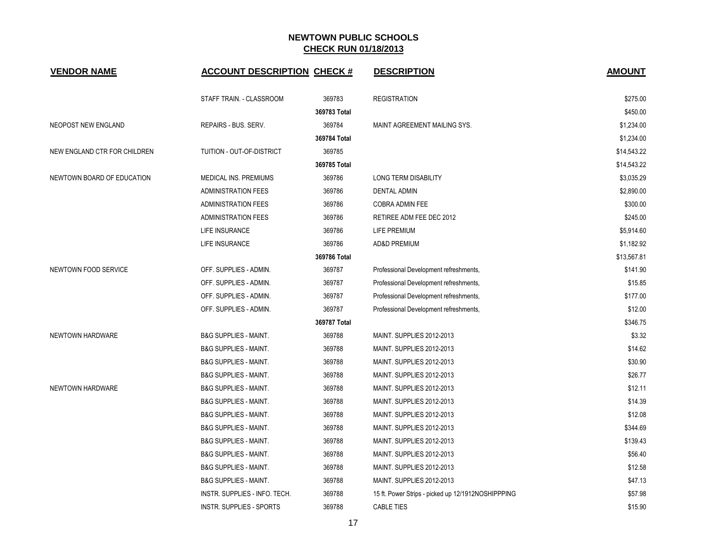| <b>VENDOR NAME</b>           | <b>ACCOUNT DESCRIPTION CHECK #</b> |              | <b>DESCRIPTION</b>                                 | <b>AMOUNT</b> |
|------------------------------|------------------------------------|--------------|----------------------------------------------------|---------------|
|                              | STAFF TRAIN. - CLASSROOM           | 369783       | <b>REGISTRATION</b>                                | \$275.00      |
|                              |                                    | 369783 Total |                                                    | \$450.00      |
| NEOPOST NEW ENGLAND          | REPAIRS - BUS, SERV.               | 369784       | MAINT AGREEMENT MAILING SYS.                       | \$1,234.00    |
|                              |                                    | 369784 Total |                                                    | \$1,234.00    |
| NEW ENGLAND CTR FOR CHILDREN | TUITION - OUT-OF-DISTRICT          | 369785       |                                                    | \$14,543.22   |
|                              |                                    | 369785 Total |                                                    | \$14,543.22   |
| NEWTOWN BOARD OF EDUCATION   | MEDICAL INS. PREMIUMS              | 369786       | LONG TERM DISABILITY                               | \$3,035.29    |
|                              | <b>ADMINISTRATION FEES</b>         | 369786       | <b>DENTAL ADMIN</b>                                | \$2,890.00    |
|                              | <b>ADMINISTRATION FEES</b>         | 369786       | COBRA ADMIN FEE                                    | \$300.00      |
|                              | <b>ADMINISTRATION FEES</b>         | 369786       | RETIREE ADM FEE DEC 2012                           | \$245.00      |
|                              | <b>LIFE INSURANCE</b>              | 369786       | LIFE PREMIUM                                       | \$5,914.60    |
|                              | LIFE INSURANCE                     | 369786       | <b>AD&amp;D PREMIUM</b>                            | \$1,182.92    |
|                              |                                    | 369786 Total |                                                    | \$13,567.81   |
| NEWTOWN FOOD SERVICE         | OFF. SUPPLIES - ADMIN.             | 369787       | Professional Development refreshments,             | \$141.90      |
|                              | OFF. SUPPLIES - ADMIN.             | 369787       | Professional Development refreshments,             | \$15.85       |
|                              | OFF. SUPPLIES - ADMIN.             | 369787       | Professional Development refreshments,             | \$177.00      |
|                              | OFF. SUPPLIES - ADMIN.             | 369787       | Professional Development refreshments,             | \$12.00       |
|                              |                                    | 369787 Total |                                                    | \$346.75      |
| NEWTOWN HARDWARE             | <b>B&amp;G SUPPLIES - MAINT.</b>   | 369788       | MAINT. SUPPLIES 2012-2013                          | \$3.32        |
|                              | <b>B&amp;G SUPPLIES - MAINT.</b>   | 369788       | MAINT. SUPPLIES 2012-2013                          | \$14.62       |
|                              | <b>B&amp;G SUPPLIES - MAINT.</b>   | 369788       | MAINT. SUPPLIES 2012-2013                          | \$30.90       |
|                              | <b>B&amp;G SUPPLIES - MAINT.</b>   | 369788       | MAINT. SUPPLIES 2012-2013                          | \$26.77       |
| NEWTOWN HARDWARE             | <b>B&amp;G SUPPLIES - MAINT.</b>   | 369788       | MAINT. SUPPLIES 2012-2013                          | \$12.11       |
|                              | <b>B&amp;G SUPPLIES - MAINT.</b>   | 369788       | MAINT. SUPPLIES 2012-2013                          | \$14.39       |
|                              | <b>B&amp;G SUPPLIES - MAINT.</b>   | 369788       | MAINT. SUPPLIES 2012-2013                          | \$12.08       |
|                              | <b>B&amp;G SUPPLIES - MAINT.</b>   | 369788       | MAINT. SUPPLIES 2012-2013                          | \$344.69      |
|                              | <b>B&amp;G SUPPLIES - MAINT.</b>   | 369788       | MAINT. SUPPLIES 2012-2013                          | \$139.43      |
|                              | <b>B&amp;G SUPPLIES - MAINT.</b>   | 369788       | MAINT. SUPPLIES 2012-2013                          | \$56.40       |
|                              | <b>B&amp;G SUPPLIES - MAINT.</b>   | 369788       | MAINT. SUPPLIES 2012-2013                          | \$12.58       |
|                              | <b>B&amp;G SUPPLIES - MAINT.</b>   | 369788       | MAINT. SUPPLIES 2012-2013                          | \$47.13       |
|                              | INSTR. SUPPLIES - INFO. TECH.      | 369788       | 15 ft. Power Strips - picked up 12/1912NOSHIPPPING | \$57.98       |
|                              | INSTR. SUPPLIES - SPORTS           | 369788       | <b>CABLE TIES</b>                                  | \$15.90       |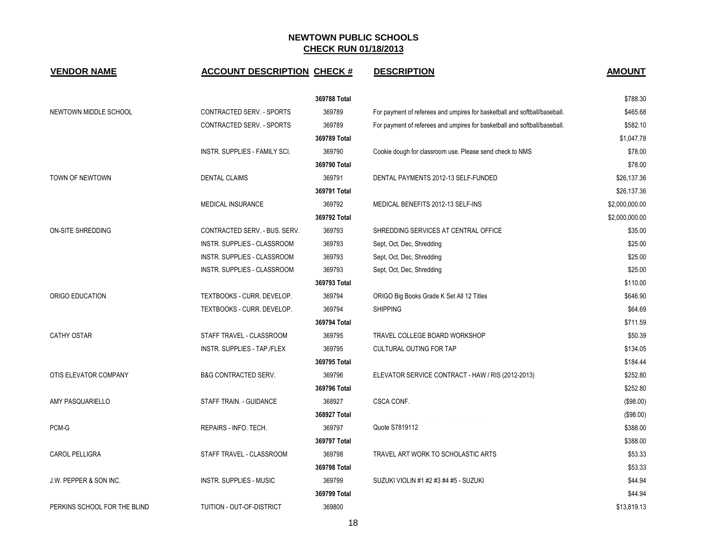| <b>VENDOR NAME</b>           | <b>ACCOUNT DESCRIPTION CHECK #</b> |              | <b>DESCRIPTION</b>                                                        | <b>AMOUNT</b>  |
|------------------------------|------------------------------------|--------------|---------------------------------------------------------------------------|----------------|
|                              |                                    | 369788 Total |                                                                           | \$788.30       |
| NEWTOWN MIDDLE SCHOOL        | CONTRACTED SERV. - SPORTS          | 369789       | For payment of referees and umpires for basketball and softball/baseball. | \$465.68       |
|                              | <b>CONTRACTED SERV. - SPORTS</b>   | 369789       | For payment of referees and umpires for basketball and softball/baseball. | \$582.10       |
|                              |                                    | 369789 Total |                                                                           | \$1,047.78     |
|                              | INSTR. SUPPLIES - FAMILY SCI.      | 369790       | Cookie dough for classroom use. Please send check to NMS                  | \$78.00        |
|                              |                                    | 369790 Total |                                                                           | \$78.00        |
| TOWN OF NEWTOWN              | <b>DENTAL CLAIMS</b>               | 369791       | DENTAL PAYMENTS 2012-13 SELF-FUNDED                                       | \$26,137.36    |
|                              |                                    | 369791 Total |                                                                           | \$26,137.36    |
|                              | MEDICAL INSURANCE                  | 369792       | MEDICAL BENEFITS 2012-13 SELF-INS                                         | \$2,000,000.00 |
|                              |                                    | 369792 Total |                                                                           | \$2,000,000.00 |
| ON-SITE SHREDDING            | CONTRACTED SERV. - BUS. SERV.      | 369793       | SHREDDING SERVICES AT CENTRAL OFFICE                                      | \$35.00        |
|                              | INSTR. SUPPLIES - CLASSROOM        | 369793       | Sept, Oct, Dec, Shredding                                                 | \$25.00        |
|                              | INSTR. SUPPLIES - CLASSROOM        | 369793       | Sept, Oct, Dec, Shredding                                                 | \$25.00        |
|                              | INSTR. SUPPLIES - CLASSROOM        | 369793       | Sept, Oct, Dec, Shredding                                                 | \$25.00        |
|                              |                                    | 369793 Total |                                                                           | \$110.00       |
| ORIGO EDUCATION              | TEXTBOOKS - CURR. DEVELOP.         | 369794       | ORIGO Big Books Grade K Set All 12 Titles                                 | \$646.90       |
|                              | TEXTBOOKS - CURR. DEVELOP.         | 369794       | <b>SHIPPING</b>                                                           | \$64.69        |
|                              |                                    | 369794 Total |                                                                           | \$711.59       |
| <b>CATHY OSTAR</b>           | STAFF TRAVEL - CLASSROOM           | 369795       | TRAVEL COLLEGE BOARD WORKSHOP                                             | \$50.39        |
|                              | INSTR. SUPPLIES - TAP./FLEX        | 369795       | <b>CULTURAL OUTING FOR TAP</b>                                            | \$134.05       |
|                              |                                    | 369795 Total |                                                                           | \$184.44       |
| OTIS ELEVATOR COMPANY        | <b>B&amp;G CONTRACTED SERV.</b>    | 369796       | ELEVATOR SERVICE CONTRACT - HAW / RIS (2012-2013)                         | \$252.80       |
|                              |                                    | 369796 Total |                                                                           | \$252.80       |
| AMY PASQUARIELLO             | STAFF TRAIN. - GUIDANCE            | 368927       | CSCA CONF.                                                                | (\$98.00)      |
|                              |                                    | 368927 Total |                                                                           | (\$98.00)      |
| PCM-G                        | REPAIRS - INFO. TECH.              | 369797       | Quote S7819112                                                            | \$388.00       |
|                              |                                    | 369797 Total |                                                                           | \$388.00       |
| <b>CAROL PELLIGRA</b>        | STAFF TRAVEL - CLASSROOM           | 369798       | TRAVEL ART WORK TO SCHOLASTIC ARTS                                        | \$53.33        |
|                              |                                    | 369798 Total |                                                                           | \$53.33        |
| J.W. PEPPER & SON INC.       | <b>INSTR. SUPPLIES - MUSIC</b>     | 369799       | SUZUKI VIOLIN #1 #2 #3 #4 #5 - SUZUKI                                     | \$44.94        |
|                              |                                    | 369799 Total |                                                                           | \$44.94        |
| PERKINS SCHOOL FOR THE BLIND | TUITION - OUT-OF-DISTRICT          | 369800       |                                                                           | \$13,819.13    |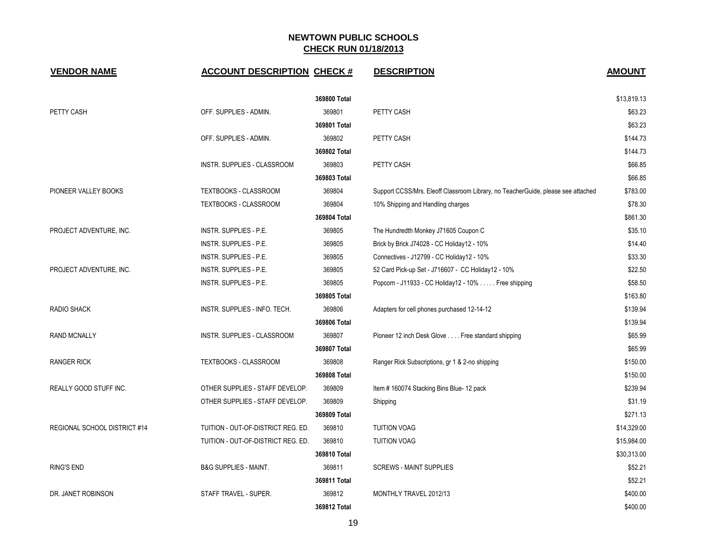| <b>VENDOR NAME</b>           | <b>ACCOUNT DESCRIPTION CHECK #</b> |              | <b>DESCRIPTION</b>                                                               | <b>AMOUNT</b> |
|------------------------------|------------------------------------|--------------|----------------------------------------------------------------------------------|---------------|
|                              |                                    | 369800 Total |                                                                                  | \$13,819.13   |
| PETTY CASH                   | OFF. SUPPLIES - ADMIN.             | 369801       | PETTY CASH                                                                       | \$63.23       |
|                              |                                    | 369801 Total |                                                                                  | \$63.23       |
|                              | OFF. SUPPLIES - ADMIN.             | 369802       | PETTY CASH                                                                       | \$144.73      |
|                              |                                    | 369802 Total |                                                                                  | \$144.73      |
|                              | <b>INSTR. SUPPLIES - CLASSROOM</b> | 369803       | PETTY CASH                                                                       | \$66.85       |
|                              |                                    | 369803 Total |                                                                                  | \$66.85       |
| PIONEER VALLEY BOOKS         | TEXTBOOKS - CLASSROOM              | 369804       | Support CCSS/Mrs. Eleoff Classroom Library, no TeacherGuide, please see attached | \$783.00      |
|                              | TEXTBOOKS - CLASSROOM              | 369804       | 10% Shipping and Handling charges                                                | \$78.30       |
|                              |                                    | 369804 Total |                                                                                  | \$861.30      |
| PROJECT ADVENTURE, INC.      | INSTR. SUPPLIES - P.E.             | 369805       | The Hundredth Monkey J71605 Coupon C                                             | \$35.10       |
|                              | INSTR. SUPPLIES - P.E.             | 369805       | Brick by Brick J74028 - CC Holiday12 - 10%                                       | \$14.40       |
|                              | INSTR. SUPPLIES - P.E.             | 369805       | Connectives - J12799 - CC Holiday12 - 10%                                        | \$33.30       |
| PROJECT ADVENTURE, INC.      | INSTR. SUPPLIES - P.E.             | 369805       | 52 Card Pick-up Set - J716607 - CC Holiday12 - 10%                               | \$22.50       |
|                              | INSTR. SUPPLIES - P.E.             | 369805       | Popcorn - J11933 - CC Holiday12 - 10% Free shipping                              | \$58.50       |
|                              |                                    | 369805 Total |                                                                                  | \$163.80      |
| <b>RADIO SHACK</b>           | INSTR. SUPPLIES - INFO. TECH.      | 369806       | Adapters for cell phones purchased 12-14-12                                      | \$139.94      |
|                              |                                    | 369806 Total |                                                                                  | \$139.94      |
| <b>RAND MCNALLY</b>          | INSTR. SUPPLIES - CLASSROOM        | 369807       | Pioneer 12 inch Desk Glove Free standard shipping                                | \$65.99       |
|                              |                                    | 369807 Total |                                                                                  | \$65.99       |
| <b>RANGER RICK</b>           | <b>TEXTBOOKS - CLASSROOM</b>       | 369808       | Ranger Rick Subscriptions, gr 1 & 2-no shipping                                  | \$150.00      |
|                              |                                    | 369808 Total |                                                                                  | \$150.00      |
| REALLY GOOD STUFF INC.       | OTHER SUPPLIES - STAFF DEVELOP.    | 369809       | Item #160074 Stacking Bins Blue-12 pack                                          | \$239.94      |
|                              | OTHER SUPPLIES - STAFF DEVELOP.    | 369809       | Shipping                                                                         | \$31.19       |
|                              |                                    | 369809 Total |                                                                                  | \$271.13      |
| REGIONAL SCHOOL DISTRICT #14 | TUITION - OUT-OF-DISTRICT REG. ED. | 369810       | <b>TUITION VOAG</b>                                                              | \$14,329.00   |
|                              | TUITION - OUT-OF-DISTRICT REG. ED. | 369810       | <b>TUITION VOAG</b>                                                              | \$15,984.00   |
|                              |                                    | 369810 Total |                                                                                  | \$30,313.00   |
| <b>RING'S END</b>            | <b>B&amp;G SUPPLIES - MAINT.</b>   | 369811       | <b>SCREWS - MAINT SUPPLIES</b>                                                   | \$52.21       |
|                              |                                    | 369811 Total |                                                                                  | \$52.21       |
| DR. JANET ROBINSON           | STAFF TRAVEL - SUPER.              | 369812       | MONTHLY TRAVEL 2012/13                                                           | \$400.00      |
|                              |                                    | 369812 Total |                                                                                  | \$400.00      |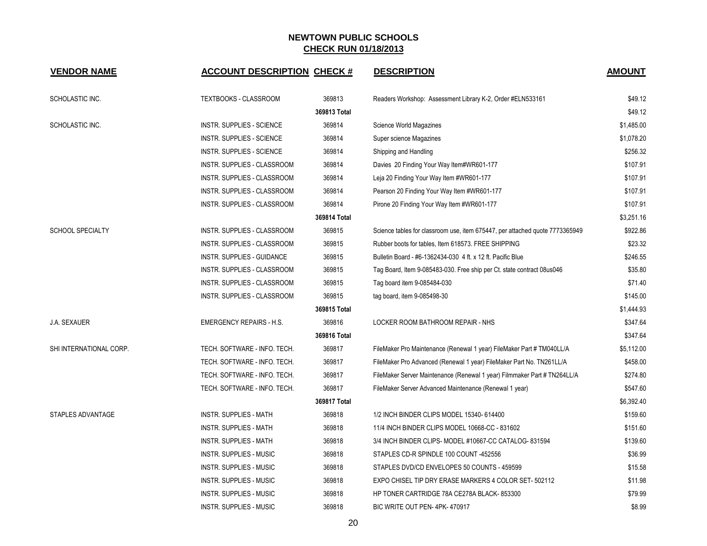| <b>VENDOR NAME</b>       | <b>ACCOUNT DESCRIPTION CHECK #</b> |              | <b>DESCRIPTION</b>                                                           | <b>AMOUNT</b> |
|--------------------------|------------------------------------|--------------|------------------------------------------------------------------------------|---------------|
| SCHOLASTIC INC.          | <b>TEXTBOOKS - CLASSROOM</b>       | 369813       | Readers Workshop: Assessment Library K-2, Order #ELN533161                   | \$49.12       |
|                          |                                    | 369813 Total |                                                                              | \$49.12       |
| SCHOLASTIC INC.          | <b>INSTR. SUPPLIES - SCIENCE</b>   | 369814       | Science World Magazines                                                      | \$1,485.00    |
|                          | <b>INSTR. SUPPLIES - SCIENCE</b>   | 369814       | Super science Magazines                                                      | \$1,078.20    |
|                          | <b>INSTR. SUPPLIES - SCIENCE</b>   | 369814       | Shipping and Handling                                                        | \$256.32      |
|                          | INSTR. SUPPLIES - CLASSROOM        | 369814       | Davies 20 Finding Your Way Item#WR601-177                                    | \$107.91      |
|                          | INSTR. SUPPLIES - CLASSROOM        | 369814       | Leja 20 Finding Your Way Item #WR601-177                                     | \$107.91      |
|                          | INSTR. SUPPLIES - CLASSROOM        | 369814       | Pearson 20 Finding Your Way Item #WR601-177                                  | \$107.91      |
|                          | INSTR. SUPPLIES - CLASSROOM        | 369814       | Pirone 20 Finding Your Way Item #WR601-177                                   | \$107.91      |
|                          |                                    | 369814 Total |                                                                              | \$3,251.16    |
| <b>SCHOOL SPECIALTY</b>  | INSTR. SUPPLIES - CLASSROOM        | 369815       | Science tables for classroom use, item 675447, per attached quote 7773365949 | \$922.86      |
|                          | INSTR. SUPPLIES - CLASSROOM        | 369815       | Rubber boots for tables, Item 618573. FREE SHIPPING                          | \$23.32       |
|                          | INSTR. SUPPLIES - GUIDANCE         | 369815       | Bulletin Board - #6-1362434-030 4 ft. x 12 ft. Pacific Blue                  | \$246.55      |
|                          | INSTR. SUPPLIES - CLASSROOM        | 369815       | Tag Board, Item 9-085483-030. Free ship per Ct. state contract 08us046       | \$35.80       |
|                          | INSTR. SUPPLIES - CLASSROOM        | 369815       | Tag board item 9-085484-030                                                  | \$71.40       |
|                          | INSTR. SUPPLIES - CLASSROOM        | 369815       | tag board, item 9-085498-30                                                  | \$145.00      |
|                          |                                    | 369815 Total |                                                                              | \$1,444.93    |
| <b>J.A. SEXAUER</b>      | <b>EMERGENCY REPAIRS - H.S.</b>    | 369816       | LOCKER ROOM BATHROOM REPAIR - NHS                                            | \$347.64      |
|                          |                                    | 369816 Total |                                                                              | \$347.64      |
| SHI INTERNATIONAL CORP.  | TECH. SOFTWARE - INFO. TECH.       | 369817       | FileMaker Pro Maintenance (Renewal 1 year) FileMaker Part # TM040LL/A        | \$5,112.00    |
|                          | TECH. SOFTWARE - INFO. TECH.       | 369817       | FileMaker Pro Advanced (Renewal 1 year) FileMaker Part No. TN261LL/A         | \$458.00      |
|                          | TECH. SOFTWARE - INFO. TECH.       | 369817       | FileMaker Server Maintenance (Renewal 1 year) Filmmaker Part # TN264LL/A     | \$274.80      |
|                          | TECH. SOFTWARE - INFO. TECH.       | 369817       | FileMaker Server Advanced Maintenance (Renewal 1 year)                       | \$547.60      |
|                          |                                    | 369817 Total |                                                                              | \$6,392.40    |
| <b>STAPLES ADVANTAGE</b> | <b>INSTR. SUPPLIES - MATH</b>      | 369818       | 1/2 INCH BINDER CLIPS MODEL 15340-614400                                     | \$159.60      |
|                          | <b>INSTR. SUPPLIES - MATH</b>      | 369818       | 11/4 INCH BINDER CLIPS MODEL 10668-CC - 831602                               | \$151.60      |
|                          | <b>INSTR. SUPPLIES - MATH</b>      | 369818       | 3/4 INCH BINDER CLIPS- MODEL #10667-CC CATALOG-831594                        | \$139.60      |
|                          | <b>INSTR. SUPPLIES - MUSIC</b>     | 369818       | STAPLES CD-R SPINDLE 100 COUNT -452556                                       | \$36.99       |
|                          | <b>INSTR. SUPPLIES - MUSIC</b>     | 369818       | STAPLES DVD/CD ENVELOPES 50 COUNTS - 459599                                  | \$15.58       |
|                          | <b>INSTR. SUPPLIES - MUSIC</b>     | 369818       | EXPO CHISEL TIP DRY ERASE MARKERS 4 COLOR SET-502112                         | \$11.98       |
|                          | INSTR. SUPPLIES - MUSIC            | 369818       | HP TONER CARTRIDGE 78A CE278A BLACK-853300                                   | \$79.99       |
|                          | <b>INSTR. SUPPLIES - MUSIC</b>     | 369818       | BIC WRITE OUT PEN-4PK-470917                                                 | \$8.99        |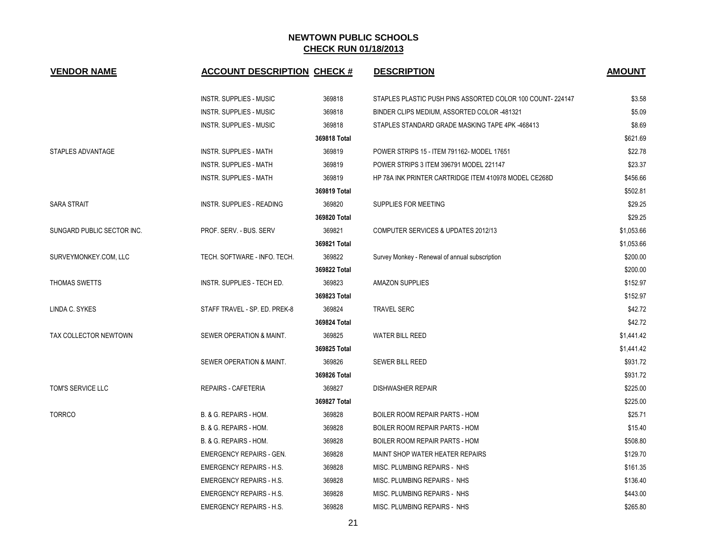| <b>VENDOR NAME</b>         | <b>ACCOUNT DESCRIPTION CHECK #</b> |              | <b>DESCRIPTION</b>                                        | <b>AMOUNT</b> |
|----------------------------|------------------------------------|--------------|-----------------------------------------------------------|---------------|
|                            | INSTR. SUPPLIES - MUSIC            | 369818       | STAPLES PLASTIC PUSH PINS ASSORTED COLOR 100 COUNT-224147 | \$3.58        |
|                            | <b>INSTR. SUPPLIES - MUSIC</b>     | 369818       | BINDER CLIPS MEDIUM, ASSORTED COLOR -481321               | \$5.09        |
|                            | <b>INSTR. SUPPLIES - MUSIC</b>     | 369818       | STAPLES STANDARD GRADE MASKING TAPE 4PK-468413            | \$8.69        |
|                            |                                    | 369818 Total |                                                           | \$621.69      |
| <b>STAPLES ADVANTAGE</b>   | <b>INSTR. SUPPLIES - MATH</b>      | 369819       | POWER STRIPS 15 - ITEM 791162- MODEL 17651                | \$22.78       |
|                            | INSTR. SUPPLIES - MATH             | 369819       | POWER STRIPS 3 ITEM 396791 MODEL 221147                   | \$23.37       |
|                            | <b>INSTR. SUPPLIES - MATH</b>      | 369819       | HP 78A INK PRINTER CARTRIDGE ITEM 410978 MODEL CE268D     | \$456.66      |
|                            |                                    | 369819 Total |                                                           | \$502.81      |
| <b>SARA STRAIT</b>         | INSTR. SUPPLIES - READING          | 369820       | SUPPLIES FOR MEETING                                      | \$29.25       |
|                            |                                    | 369820 Total |                                                           | \$29.25       |
| SUNGARD PUBLIC SECTOR INC. | PROF. SERV. - BUS. SERV            | 369821       | COMPUTER SERVICES & UPDATES 2012/13                       | \$1,053.66    |
|                            |                                    | 369821 Total |                                                           | \$1,053.66    |
| SURVEYMONKEY.COM, LLC      | TECH. SOFTWARE - INFO. TECH.       | 369822       | Survey Monkey - Renewal of annual subscription            | \$200.00      |
|                            |                                    | 369822 Total |                                                           | \$200.00      |
| <b>THOMAS SWETTS</b>       | INSTR. SUPPLIES - TECH ED.         | 369823       | <b>AMAZON SUPPLIES</b>                                    | \$152.97      |
|                            |                                    | 369823 Total |                                                           | \$152.97      |
| LINDA C. SYKES             | STAFF TRAVEL - SP. ED. PREK-8      | 369824       | <b>TRAVEL SERC</b>                                        | \$42.72       |
|                            |                                    | 369824 Total |                                                           | \$42.72       |
| TAX COLLECTOR NEWTOWN      | SEWER OPERATION & MAINT.           | 369825       | <b>WATER BILL REED</b>                                    | \$1,441.42    |
|                            |                                    | 369825 Total |                                                           | \$1,441.42    |
|                            | SEWER OPERATION & MAINT.           | 369826       | <b>SEWER BILL REED</b>                                    | \$931.72      |
|                            |                                    | 369826 Total |                                                           | \$931.72      |
| TOM'S SERVICE LLC          | <b>REPAIRS - CAFETERIA</b>         | 369827       | <b>DISHWASHER REPAIR</b>                                  | \$225.00      |
|                            |                                    | 369827 Total |                                                           | \$225.00      |
| <b>TORRCO</b>              | B. & G. REPAIRS - HOM.             | 369828       | <b>BOILER ROOM REPAIR PARTS - HOM</b>                     | \$25.71       |
|                            | B. & G. REPAIRS - HOM.             | 369828       | <b>BOILER ROOM REPAIR PARTS - HOM</b>                     | \$15.40       |
|                            | B. & G. REPAIRS - HOM.             | 369828       | <b>BOILER ROOM REPAIR PARTS - HOM</b>                     | \$508.80      |
|                            | <b>EMERGENCY REPAIRS - GEN.</b>    | 369828       | MAINT SHOP WATER HEATER REPAIRS                           | \$129.70      |
|                            | <b>EMERGENCY REPAIRS - H.S.</b>    | 369828       | MISC. PLUMBING REPAIRS - NHS                              | \$161.35      |
|                            | <b>EMERGENCY REPAIRS - H.S.</b>    | 369828       | MISC. PLUMBING REPAIRS - NHS                              | \$136.40      |
|                            | <b>EMERGENCY REPAIRS - H.S.</b>    | 369828       | MISC. PLUMBING REPAIRS - NHS                              | \$443.00      |
|                            | <b>EMERGENCY REPAIRS - H.S.</b>    | 369828       | MISC. PLUMBING REPAIRS - NHS                              | \$265.80      |